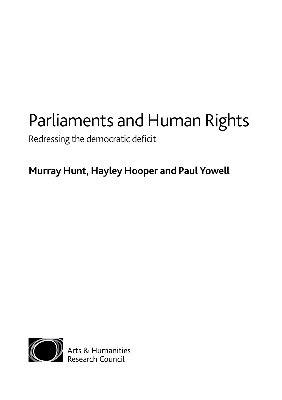# Parliaments and Human Rights

Redressing the democratic deficit

**Murray Hunt, Hayley Hooper and Paul Yowell**



**OD** Arts & Humanities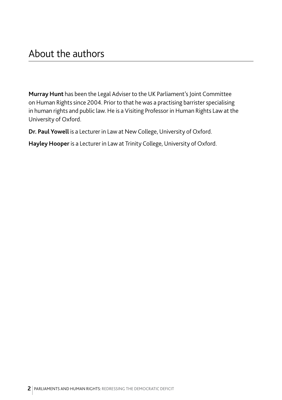**Murray Hunt** has been the Legal Adviser to the UK Parliament's Joint Committee on Human Rights since 2004. Prior to that he was a practising barrister specialising in human rights and public law. He is a Visiting Professor in Human Rights Law at the University of Oxford.

**Dr. Paul Yowell** is a Lecturer in Law at New College, University of Oxford.

**Hayley Hooper** is a Lecturer in Law at Trinity College, University of Oxford.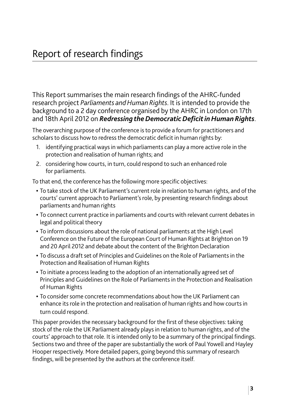This Report summarises the main research findings of the AHRC-funded research project *Parliaments and Human Rights*. It is intended to provide the background to a 2 day conference organised by the AHRC in London on 17th and 18th April 2012 on *Redressing the Democratic Deficit in Human Rights*.

The overarching purpose of the conference is to provide a forum for practitioners and scholars to discuss how to redress the democratic deficit in human rights by:

- 1. identifying practical ways in which parliaments can play a more active role in the protection and realisation of human rights; and
- 2. considering how courts, in turn, could respond to such an enhanced role for parliaments.

To that end, the conference has the following more specific objectives:

- **•** To take stock of the UK Parliament's current role in relation to human rights, and of the courts' current approach to Parliament's role, by presenting research findings about parliaments and human rights
- **•** To connect current practice in parliaments and courts with relevant current debates in legal and political theory
- **•** To inform discussions about the role of national parliaments at the High Level Conference on the Future of the European Court of Human Rights at Brighton on 19 and 20 April 2012 and debate about the content of the Brighton Declaration
- **•** To discuss a draft set of Principles and Guidelines on the Role of Parliaments in the Protection and Realisation of Human Rights
- **•** To initiate a process leading to the adoption of an internationally agreed set of Principles and Guidelines on the Role of Parliaments in the Protection and Realisation of Human Rights
- **•** To consider some concrete recommendations about how the UK Parliament can enhance its role in the protection and realisation of human rights and how courts in turn could respond.

This paper provides the necessary background for the first of these objectives: taking stock of the role the UK Parliament already plays in relation to human rights, and of the courts' approach to that role. It is intended only to be a summary of the principal findings. Sections two and three of the paper are substantially the work of Paul Yowell and Hayley Hooper respectively. More detailed papers, going beyond this summary of research findings, will be presented by the authors at the conference itself.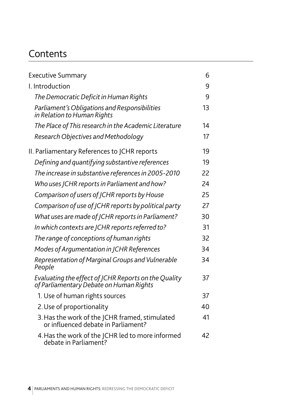# **Contents**

| <b>Executive Summary</b>                                                                        | 6  |
|-------------------------------------------------------------------------------------------------|----|
| I. Introduction                                                                                 | 9  |
| The Democratic Deficit in Human Rights                                                          | 9  |
| Parliament's Obligations and Responsibilities<br>in Relation to Human Rights                    | 13 |
| The Place of This research in the Academic Literature                                           | 14 |
| Research Objectives and Methodology                                                             | 17 |
| II. Parliamentary References to JCHR reports                                                    | 19 |
| Defining and quantifying substantive references                                                 | 19 |
| The increase in substantive references in 2005-2010                                             | 22 |
| Who uses JCHR reports in Parliament and how?                                                    | 24 |
| Comparison of users of JCHR reports by House                                                    | 25 |
| Comparison of use of JCHR reports by political party                                            | 27 |
| What uses are made of JCHR reports in Parliament?                                               | 30 |
| In which contexts are JCHR reports referred to?                                                 | 31 |
| The range of conceptions of human rights                                                        | 32 |
| Modes of Argumentation in JCHR References                                                       | 34 |
| Representation of Marginal Groups and Vulnerable<br>People                                      | 34 |
| Evaluating the effect of JCHR Reports on the Quality<br>of Parliamentary Debate on Human Rights | 37 |
| 1. Use of human rights sources                                                                  | 37 |
| 2. Use of proportionality                                                                       | 40 |
| 3. Has the work of the JCHR framed, stimulated<br>or influenced debate in Parliament?           | 41 |
| 4. Has the work of the JCHR led to more informed<br>debate in Parliament?                       | 42 |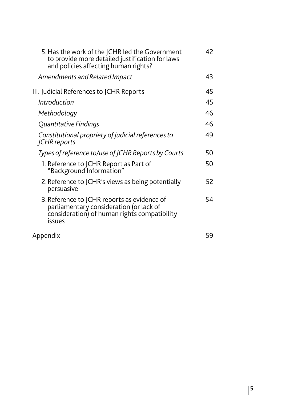| 5. Has the work of the JCHR led the Government<br>to provide more detailed justification for laws<br>and policies affecting human rights?        | 42 |
|--------------------------------------------------------------------------------------------------------------------------------------------------|----|
| Amendments and Related Impact                                                                                                                    | 43 |
| III. Judicial References to JCHR Reports                                                                                                         | 45 |
| Introduction                                                                                                                                     | 45 |
| Methodology                                                                                                                                      | 46 |
| Quantitative Findings                                                                                                                            | 46 |
| Constitutional propriety of judicial references to<br><b>JCHR</b> reports                                                                        | 49 |
| Types of reference to/use of JCHR Reports by Courts                                                                                              | 50 |
| 1. Reference to JCHR Report as Part of<br>"Background Information"                                                                               | 50 |
| 2. Reference to JCHR's views as being potentially<br>persuasive                                                                                  | 52 |
| 3. Reference to JCHR reports as evidence of<br>parliamentary consideration (or lack of<br>consideration) of human rights compatibility<br>issues | 54 |
| Appendix                                                                                                                                         | 59 |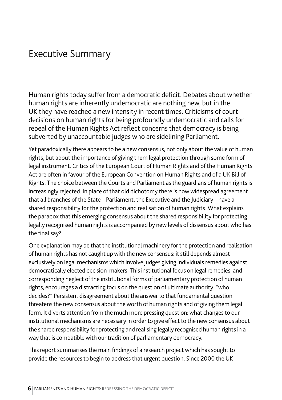Human rights today suffer from a democratic deficit. Debates about whether human rights are inherently undemocratic are nothing new, but in the UK they have reached a new intensity in recent times. Criticisms of court decisions on human rights for being profoundly undemocratic and calls for repeal of the Human Rights Act reflect concerns that democracy is being subverted by unaccountable judges who are sidelining Parliament.

Yet paradoxically there appears to be a new consensus, not only about the value of human rights, but about the importance of giving them legal protection through some form of legal instrument. Critics of the European Court of Human Rights and of the Human Rights Act are often in favour of the European Convention on Human Rights and of a UK Bill of Rights. The choice between the Courts and Parliament as the guardians of human rights is increasingly rejected. In place of that old dichotomy there is now widespread agreement that all branches of the State – Parliament, the Executive and the Judiciary – have a shared responsibility for the protection and realisation of human rights. What explains the paradox that this emerging consensus about the shared responsibility for protecting legally recognised human rights is accompanied by new levels of dissensus about who has the final say?

One explanation may be that the institutional machinery for the protection and realisation of human rights has not caught up with the new consensus: it still depends almost exclusively on legal mechanisms which involve judges giving individuals remedies against democratically elected decision-makers. This institutional focus on legal remedies, and corresponding neglect of the institutional forms of parliamentary protection of human rights, encourages a distracting focus on the question of ultimate authority: "who decides?" Persistent disagreement about the answer to that fundamental question threatens the new consensus about the worth of human rights and of giving them legal form. It diverts attention from the much more pressing question: what changes to our institutional mechanisms are necessary in order to give effect to the new consensus about the shared responsibility for protecting and realising legally recognised human rights in a way that is compatible with our tradition of parliamentary democracy.

This report summarises the main findings of a research project which has sought to provide the resources to begin to address that urgent question. Since 2000 the UK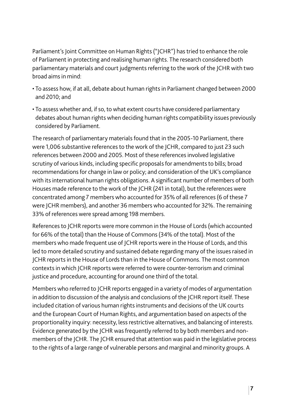Parliament's Joint Committee on Human Rights ("JCHR") has tried to enhance the role of Parliament in protecting and realising human rights. The research considered both parliamentary materials and court judgments referring to the work of the JCHR with two broad aims in mind:

- To assess how, if at all, debate about human rights in Parliament changed between 2000 and 2010; and
- To assess whether and, if so, to what extent courts have considered parliamentary debates about human rights when deciding human rights compatibility issues previously considered by Parliament.

The research of parliamentary materials found that in the 2005-10 Parliament, there were 1,006 substantive references to the work of the JCHR, compared to just 23 such references between 2000 and 2005. Most of these references involved legislative scrutiny of various kinds, including specific proposals for amendments to bills; broad recommendations for change in law or policy; and consideration of the UK's compliance with its international human rights obligations. A significant number of members of both Houses made reference to the work of the JCHR (241 in total), but the references were concentrated among 7 members who accounted for 35% of all references (6 of these 7 were JCHR members), and another 36 members who accounted for 32%. The remaining 33% of references were spread among 198 members.

References to JCHR reports were more common in the House of Lords (which accounted for 66% of the total) than the House of Commons (34% of the total). Most of the members who made frequent use of JCHR reports were in the House of Lords, and this led to more detailed scrutiny and sustained debate regarding many of the issues raised in JCHR reports in the House of Lords than in the House of Commons. The most common contexts in which JCHR reports were referred to were counter-terrorism and criminal justice and procedure, accounting for around one third of the total.

Members who referred to JCHR reports engaged in a variety of modes of argumentation in addition to discussion of the analysis and conclusions of the JCHR report itself. These included citation of various human rights instruments and decisions of the UK courts and the European Court of Human Rights, and argumentation based on aspects of the proportionality inquiry: necessity, less restrictive alternatives, and balancing of interests. Evidence generated by the JCHR was frequently referred to by both members and nonmembers of the JCHR. The JCHR ensured that attention was paid in the legislative process to the rights of a large range of vulnerable persons and marginal and minority groups. A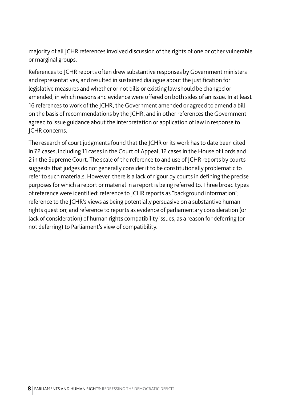majority of all JCHR references involved discussion of the rights of one or other vulnerable or marginal groups.

References to JCHR reports often drew substantive responses by Government ministers and representatives, and resulted in sustained dialogue about the justification for legislative measures and whether or not bills or existing law should be changed or amended, in which reasons and evidence were offered on both sides of an issue. In at least 16 references to work of the JCHR, the Government amended or agreed to amend a bill on the basis of recommendations by the JCHR, and in other references the Government agreed to issue guidance about the interpretation or application of law in response to JCHR concerns.

The research of court judgments found that the JCHR or its work has to date been cited in 72 cases, including 11 cases in the Court of Appeal, 12 cases in the House of Lords and 2 in the Supreme Court. The scale of the reference to and use of JCHR reports by courts suggests that judges do not generally consider it to be constitutionally problematic to refer to such materials. However, there is a lack of rigour by courts in defining the precise purposes for which a report or material in a report is being referred to. Three broad types of reference were identified: reference to JCHR reports as "background information"; reference to the JCHR's views as being potentially persuasive on a substantive human rights question; and reference to reports as evidence of parliamentary consideration (or lack of consideration) of human rights compatibility issues, as a reason for deferring (or not deferring) to Parliament's view of compatibility.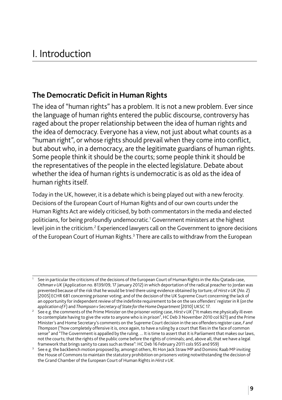#### **The Democratic Deficit in Human Rights**

The idea of "human rights" has a problem. It is not a new problem. Ever since the language of human rights entered the public discourse, controversy has raged about the proper relationship between the idea of human rights and the idea of democracy. Everyone has a view, not just about what counts as a "human right", or whose rights should prevail when they come into conflict, but about who, in a democracy, are the legitimate guardians of human rights. Some people think it should be the courts; some people think it should be the representatives of the people in the elected legislature. Debate about whether the idea of human rights is undemocratic is as old as the idea of human rights itself.

Today in the UK, however, it is a debate which is being played out with a new ferocity. Decisions of the European Court of Human Rights and of our own courts under the Human Rights Act are widely criticised, by both commentators in the media and elected politicians, for being profoundly undemocratic.1 Government ministers at the highest level join in the criticism.<sup>2</sup> Experienced lawyers call on the Government to ignore decisions of the European Court of Human Rights.<sup>3</sup> There are calls to withdraw from the European

<sup>1</sup> See in particular the criticisms of the decisions of the European Court of Human Rights in the Abu Qatada case, *Othman v UK* (Application no. 8139/09, 17 January 2012) in which deportation of the radical preacher to Jordan was prevented because of the risk that he would be tried there using evidence obtained by torture; of *Hirst v UK* (*No. 2*) [2005] ECHR 681 concerning prisoner voting; and of the decision of the UK Supreme Court concerning the lack of an opportunity for independent review of the indefinite requirement to be on the sex offenders' register in R (*on the application of F*) and *Thompson v Secretary of State for the Home Department* [2010] UKSC 17.

<sup>2</sup> See e.g. the comments of the Prime Minister on the prisoner voting case, *Hirst v UK* ("It makes me physically ill even to contemplate having to give the vote to anyone who is in prison", HC Deb 3 November 2010 col 921) and the Prime Minister's and Home Secretary's comments on the Supreme Court decision in the sex offenders register case, *F and Thompson* ("how completely offensive it is, once again, to have a ruling by a court that flies in the face of common sense" and "The Government is appalled by the ruling. ... It is time to assert that it is Parliament that makes our laws, not the courts; that the rights of the public come before the rights of criminals; and, above all, that we have a legal framework that brings sanity to cases such as these": HC Deb 16 February 2011 cols 955 and 959)

<sup>3</sup> See e.g. the backbench motion proposed by, amongst others, Rt Hon Jack Straw MP and Dominic Raab MP inviting the House of Commons to maintain the statutory prohibition on prisoners voting notwithstanding the decision of the Grand Chamber of the European Court of Human Rights in *Hirst v UK*.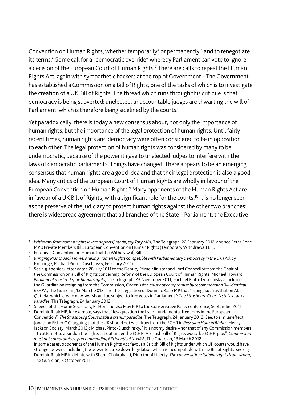Convention on Human Rights, whether temporarily<sup>4</sup> or permanently,<sup>5</sup> and to renegotiate its terms.<sup>6</sup> Some call for a "democratic override" whereby Parliament can vote to ignore a decision of the European Court of Human Rights.7 There are calls to repeal the Human Rights Act, again with sympathetic backers at the top of Government.<sup>8</sup> The Government has established a Commission on a Bill of Rights, one of the tasks of which is to investigate the creation of a UK Bill of Rights. The thread which runs through this critique is that democracy is being subverted: unelected, unaccountable judges are thwarting the will of Parliament, which is therefore being sidelined by the courts.

Yet paradoxically, there is today a new consensus about, not only the importance of human rights, but the importance of the legal protection of human rights. Until fairly recent times, human rights and democracy were often considered to be in opposition to each other. The legal protection of human rights was considered by many to be undemocratic, because of the power it gave to unelected judges to interfere with the laws of democratic parliaments. Things have changed. There appears to be an emerging consensus that human rights are a good idea and that their legal protection is also a good idea. Many critics of the European Court of Human Rights are wholly in favour of the European Convention on Human Rights.<sup>9</sup> Many opponents of the Human Rights Act are in favour of a UK Bill of Rights, with a significant role for the courts.<sup>10</sup> It is no longer seen as the preserve of the judiciary to protect human rights against the other two branches: there is widespread agreement that all branches of the State – Parliament, the Executive

<sup>4</sup> *Withdraw from human rights law to deport Qatada, say Tory MPs*, The Telegraph, 22 February 2012; and see Peter Bone MP's Private Members Bill, European Convention on Human Rights (Temporary Withdrawal) Bill.

<sup>5</sup> European Convention on Human Rights (Withdrawal) Bill.

<sup>6</sup> *Bringing Rights Back Home: Making Human Rights compatible with Parliamentary Democracy in the UK* (Policy Exchange, Michael Pinto-Duschinsky, February 2011).

 $^7$  See e.g. the side-letter dated 28 July 2011 to the Deputy Prime Minister and Lord Chancellor from the Chair of the Commission on a Bill of Rights concerning Reform of the European Court of Human Rights; Michael Howard, *Parliament must redefine human rights*, The Telegraph, 23 November 2011; Michael Pinto-Duschinsky article in the Guardian on resigning from the Commission, C*ommission must not compromise by recommending Bill identical to HRA*, The Guardian, 13 March 2012; and the suggestion of Dominic Raab MP that "rulings such as that on Abu Qatada, which create new law, should be subject to free votes in Parliament": *The Strasbourg Court is still a cranks' paradise*, The Telegraph, 24 January 2012.

 $8$  Speech of the Home Secretary, Rt Hon Theresa May MP to the Conservative Party conference, September 2011.

<sup>9</sup> Dominic Raab MP, for example, says that "few question the list of fundamental freedoms in the European Convention": *The Strasbourg Court is still a cranks' paradise*, The Telegraph, 24 January 2012. See, to similar effect, Jonathan Fisher QC, arguing that the UK should not withdraw from the ECHR in *Rescuing Human Rights* (Henry Jackson Society, March 2012); Michael Pinto-Duschinsky, "It is not my desire – nor that of any Commission members – to attempt to abandon the rights set out under the ECHR. A British Bill of Rights would be ECHR-plus": *Commission must not compromise by recommending Bill identical to HRA*, The Guardian, 13 March 2012.

<sup>10</sup> In some cases, opponents of the Human Rights Act favour a British Bill of Rights under which UK courts would have stronger powers, including the power to strike down legislation which is incompatible with the Bill of Rights: see e.g. Dominic Raab MP in debate with Shami Chakrabarti, Director of Liberty, *The conversation: Judging rights from wrong*, The Guardian, 8 October 2011.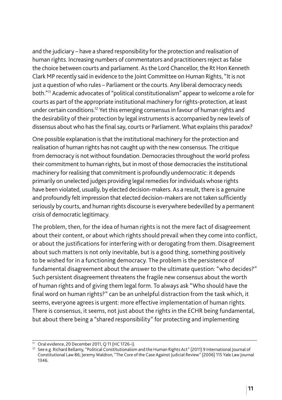and the judiciary – have a shared responsibility for the protection and realisation of human rights. Increasing numbers of commentators and practitioners reject as false the choice between courts and parliament. As the Lord Chancellor, the Rt Hon Kenneth Clark MP recently said in evidence to the Joint Committee on Human Rights, "It is not just a question of who rules – Parliament or the courts. Any liberal democracy needs both."11 Academic advocates of "political constitutionalism" appear to welcome a role for courts as part of the appropriate institutional machinery for rights-protection, at least under certain conditions.12 Yet this emerging consensus in favour of human rights and the desirability of their protection by legal instruments is accompanied by new levels of dissensus about who has the final say, courts or Parliament. What explains this paradox?

One possible explanation is that the institutional machinery for the protection and realisation of human rights has not caught up with the new consensus. The critique from democracy is not without foundation. Democracies throughout the world profess their commitment to human rights, but in most of those democracies the institutional machinery for realising that commitment is profoundly undemocratic: it depends primarily on unelected judges providing legal remedies for individuals whose rights have been violated, usually, by elected decision-makers. As a result, there is a genuine and profoundly felt impression that elected decision-makers are not taken sufficiently seriously by courts, and human rights discourse is everywhere bedevilled by a permanent crisis of democratic legitimacy.

The problem, then, for the idea of human rights is not the mere fact of disagreement about their content, or about which rights should prevail when they come into conflict, or about the justifications for interfering with or derogating from them. Disagreement about such matters is not only inevitable, but is a good thing, something positively to be wished for in a functioning democracy. The problem is the persistence of fundamental disagreement about the answer to the ultimate question: "who decides?" Such persistent disagreement threatens the fragile new consensus about the worth of human rights and of giving them legal form. To always ask "Who should have the final word on human rights?" can be an unhelpful distraction from the task which, it seems, everyone agrees is urgent: more effective implementation of human rights. There is consensus, it seems, not just about the rights in the ECHR being fundamental. but about there being a "shared responsibility" for protecting and implementing

 $11$  Oral evidence, 20 December 2011, Q 11 (HC 1726-i).

<sup>&</sup>lt;sup>12</sup> See e.g. Richard Bellamy, "Political Constitutionalism and the Human Rights Act" (2011) 9 International Journal of Constitutional Law 86; Jeremy Waldron, "The Core of the Case Against Judicial Review" (2006) 115 Yale Law Journal 1346.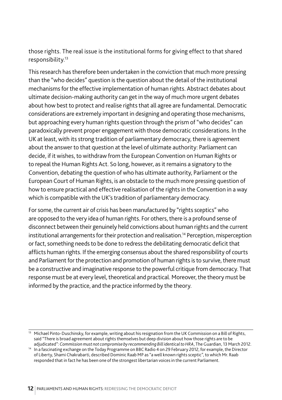those rights. The real issue is the institutional forms for giving effect to that shared responsibility.13

This research has therefore been undertaken in the conviction that much more pressing than the "who decides" question is the question about the detail of the institutional mechanisms for the effective implementation of human rights. Abstract debates about ultimate decision-making authority can get in the way of much more urgent debates about how best to protect and realise rights that all agree are fundamental. Democratic considerations are extremely important in designing and operating those mechanisms, but approaching every human rights question through the prism of "who decides" can paradoxically prevent proper engagement with those democratic considerations. In the UK at least, with its strong tradition of parliamentary democracy, there is agreement about the answer to that question at the level of ultimate authority: Parliament can decide, if it wishes, to withdraw from the European Convention on Human Rights or to repeal the Human Rights Act. So long, however, as it remains a signatory to the Convention, debating the question of who has ultimate authority, Parliament or the European Court of Human Rights, is an obstacle to the much more pressing question of how to ensure practical and effective realisation of the rights in the Convention in a way which is compatible with the UK's tradition of parliamentary democracy.

For some, the current air of crisis has been manufactured by "rights sceptics" who are opposed to the very idea of human rights. For others, there is a profound sense of disconnect between their genuinely held convictions about human rights and the current institutional arrangements for their protection and realisation.<sup>14</sup> Perception, misperception or fact, something needs to be done to redress the debilitating democratic deficit that afflicts human rights. If the emerging consensus about the shared responsibility of courts and Parliament for the protection and promotion of human rights is to survive, there must be a constructive and imaginative response to the powerful critique from democracy. That response must be at every level, theoretical and practical. Moreover, the theory must be informed by the practice, and the practice informed by the theory.

<sup>&</sup>lt;sup>13</sup> Michael Pinto-Duschinsky, for example, writing about his resignation from the UK Commission on a Bill of Rights, said "There is broad agreement about rights themselves but deep division about how those rights are to be adjudicated": *Commission must not compromise by recommending Bill identical to HRA*, The Guardian, 13 March 2012.

<sup>14</sup> In a fascinating exchange on the Today Programme on BBC Radio 4 on 29 February 2012, for example, the Director of Liberty, Shami Chakrabarti, described Dominic Raab MP as "a well known rights sceptic", to which Mr. Raab responded that in fact he has been one of the strongest libertarian voices in the current Parliament.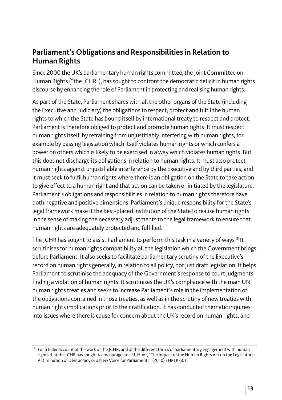#### **Parliament's Obligations and Responsibilities in Relation to Human Rights**

Since 2000 the UK's parliamentary human rights committee, the Joint Committee on Human Rights ("the JCHR"), has sought to confront the democratic deficit in human rights discourse by enhancing the role of Parliament in protecting and realising human rights.

As part of the State, Parliament shares with all the other organs of the State (including the Executive and Judiciary) the obligations to respect, protect and fulfil the human rights to which the State has bound itself by international treaty to respect and protect. Parliament is therefore obliged to protect and promote human rights. It must respect human rights itself, by refraining from unjustifiably interfering with human rights, for example by passing legislation which itself violates human rights or which confers a power on others which is likely to be exercised in a way which violates human rights. But this does not discharge its obligations in relation to human rights. It must also protect human rights against unjustifiable interference by the Executive and by third parties, and it must seek to fulfil human rights where there is an obligation on the State to take action to give effect to a human right and that action can be taken or initiated by the legislature. Parliament's obligations and responsibilities in relation to human rights therefore have both negative and positive dimensions. Parliament's unique responsibility for the State's legal framework make it the best-placed institution of the State to realise human rights in the sense of making the necessary adjustments to the legal framework to ensure that human rights are adequately protected and fulfilled.

The JCHR has sought to assist Parliament to perform this task in a variety of ways<sup>15</sup> It scrutinises for human rights compatibility all the legislation which the Government brings before Parliament. It also seeks to facilitate parliamentary scrutiny of the Executive's record on human rights generally, in relation to all policy, not just draft legislation. It helps Parliament to scrutinise the adequacy of the Government's response to court judgments finding a violation of human rights. It scrutinises the UK's compliance with the main UN human rights treaties and seeks to increase Parliament's role in the implementation of the obligations contained in those treaties, as well as in the scrutiny of new treaties with human rights implications prior to their ratification. It has conducted thematic inquiries into issues where there is cause for concern about the UK's record on human rights, and

<sup>&</sup>lt;sup>15</sup> For a fuller account of the work of the JCHR, and of the different forms of parliamentary engagement with human rights that the JCHR has sought to encourage, see M. Hunt, "The Impact of the Human Rights Act on the Legislature: A Diminution of Democracy or a New Voice for Parliament?" (2010) EHRLR 601.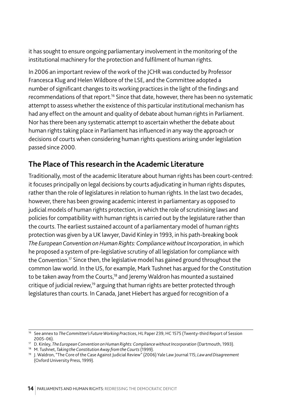it has sought to ensure ongoing parliamentary involvement in the monitoring of the institutional machinery for the protection and fulfilment of human rights.

In 2006 an important review of the work of the JCHR was conducted by Professor Francesca Klug and Helen Wildbore of the LSE, and the Committee adopted a number of significant changes to its working practices in the light of the findings and recommendations of that report.<sup>16</sup> Since that date, however, there has been no systematic attempt to assess whether the existence of this particular institutional mechanism has had any effect on the amount and quality of debate about human rights in Parliament. Nor has there been any systematic attempt to ascertain whether the debate about human rights taking place in Parliament has influenced in any way the approach or decisions of courts when considering human rights questions arising under legislation passed since 2000.

# **The Place of This research in the Academic Literature**

Traditionally, most of the academic literature about human rights has been court-centred: it focuses principally on legal decisions by courts adjudicating in human rights disputes, rather than the role of legislatures in relation to human rights. In the last two decades, however, there has been growing academic interest in parliamentary as opposed to judicial models of human rights protection, in which the role of scrutinising laws and policies for compatibility with human rights is carried out by the legislature rather than the courts. The earliest sustained account of a parliamentary model of human rights protection was given by a UK lawyer, David Kinley in 1993, in his path-breaking book *The European Convention on Human Rights: Compliance without Incorporation*, in which he proposed a system of pre-legislative scrutiny of all legislation for compliance with the Convention.<sup>17</sup> Since then, the legislative model has gained ground throughout the common law world. In the US, for example, Mark Tushnet has argued for the Constitution to be taken away from the Courts,<sup>18</sup> and Jeremy Waldron has mounted a sustained critique of judicial review.<sup>19</sup> arguing that human rights are better protected through legislatures than courts. In Canada, Janet Hiebert has argued for recognition of a

<sup>16</sup> See annex to *The Committee's Future Working Practices*, HL Paper 239, HC 1575 (Twenty-third Report of Session

<sup>2005-06).</sup> 17 D. Kinley, *The European Convention on Human Rights: Compliance without Incorporation* (Dartmouth, 1993).

<sup>18</sup> M. Tushnet, *Taking the Constitution Away from the Courts* (1999).

<sup>19</sup> J. Waldron, "The Core of the Case Against Judicial Review" (2006) Yale Law Journal 115; *Law and Disagreement* (Oxford University Press, 1999).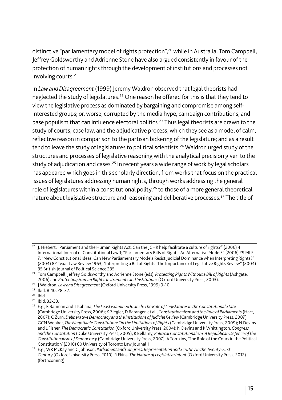distinctive "parliamentary model of rights protection",<sup>20</sup> while in Australia, Tom Campbell, Jeffrey Goldsworthy and Adrienne Stone have also argued consistently in favour of the protection of human rights through the development of institutions and processes not involving courts.<sup>21</sup>

In *Law and Disagreement* (1999) Jeremy Waldron observed that legal theorists had neglected the study of legislatures.<sup>22</sup> One reason he offered for this is that they tend to view the legislative process as dominated by bargaining and compromise among selfinterested groups; or, worse, corrupted by the media hype, campaign contributions, and base populism that can influence electoral politics.<sup>23</sup> Thus legal theorists are drawn to the study of courts, case law, and the adjudicative process, which they see as a model of calm, reflective reason in comparison to the partisan bickering of the legislature; and as a result tend to leave the study of legislatures to political scientists.<sup>24</sup> Waldron urged study of the structures and processes of legislative reasoning with the analytical precision given to the study of adjudication and cases.<sup>25</sup> In recent years a wide range of work by legal scholars has appeared which goes in this scholarly direction, from works that focus on the practical issues of legislatures addressing human rights, through works addressing the general role of legislatures within a constitutional polity,<sup>26</sup> to those of a more general theoretical nature about legislative structure and reasoning and deliberative processes.<sup>27</sup> The title of

- $\frac{23}{24}$  Ibid. 8-10, 28-32.
- 

 $25$  Ibid. 32-33.

 $\frac{20}{20}$  I. Hiebert, "Parliament and the Human Rights Act: Can the ICHR help facilitate a culture of rights?" (2006) 4 International Journal of Constitutional Law 1; "Parliamentary Bills of Rights: An Alternative Model?" (2006) 29 MLR 7; "New Constitutional Ideas: Can New Parliamentary Models Resist Judicial Dominance when Interpreting Rights?" (2004) 82 Texas Law Review 1963; "Interpreting a Bill of Rights: The Importance of Legislative Rights Review" (2004) 35 British Journal of Political Science 235.

<sup>21</sup> Tom Campbell, Jeffrey Goldsworthy and Adrienne Stone (eds), *Protecting Rights Without a Bill of Rights* (Ashgate, 2006) and *Protecting Human Rights: Instruments and Institutions* (Oxford University Press, 2003).

<sup>22</sup> J Waldron, *Law and Disagreement* (Oxford University Press, 1999) 9-10.

<sup>26</sup> E.g., R Bauman and T Kahana, *The Least Examined Branch: The Role of Legislatures in the Constitutional State* (Cambridge University Press, 2006); K Ziegler, D Baranger, et al., *Constitutionalism and the Role of Parliaments* (Hart, 2007); C Zurn, *Deliberative Democracy and the Institutions of Judicial Review* (Cambridge University Press, 2007); GCN Webber, *The Negotiable Constitution: On the Limitations of Rights* (Cambridge University Press, 2009); N Devins and L Fisher, *The Democratic Constitution* (Oxford University Press, 2004); N Devins and K Whittington, *Congress and the Constitution* (Duke University Press, 2005); R Bellamy, *Political Constitutionalism: A Republican Defence of the Constitutionalism of Democracy* (Cambridge University Press, 2007); A Tomkins, 'The Role of the Cours in the Political Constitution' (2010) 60 University of Toronto Law Journal 1

<sup>27</sup> E.g., WR McKay and C Johnson, *Parliament and Congress: Representation and Scrutiny in the Twenty-First Century* (Oxford University Press, 2010); R Ekins, *The Nature of Legislative Intent* (Oxford University Press, 2012) (forthcoming).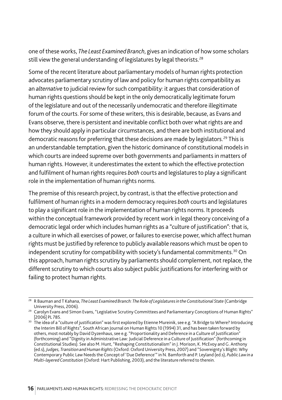one of these works, *The Least Examined Branch*, gives an indication of how some scholars still view the general understanding of legislatures by legal theorists.<sup>28</sup>

Some of the recent literature about parliamentary models of human rights protection advocates parliamentary scrutiny of law and policy for human rights compatibility as an *alternative* to judicial review for such compatibility: it argues that consideration of human rights questions should be kept in the only democratically legitimate forum of the legislature and out of the necessarily undemocratic and therefore illegitimate forum of the courts. For some of these writers, this is desirable, because, as Evans and Evans observe, there is persistent and inevitable conflict both over what rights are and how they should apply in particular circumstances, and there are both institutional and democratic reasons for preferring that these decisions are made by legislators.<sup>29</sup> This is an understandable temptation, given the historic dominance of constitutional models in which courts are indeed supreme over both governments and parliaments in matters of human rights. However, it underestimates the extent to which the effective protection and fulfilment of human rights requires *both* courts and legislatures to play a significant role in the implementation of human rights norms.

The premise of this research project, by contrast, is that the effective protection and fulfilment of human rights in a modern democracy requires *both* courts and legislatures to play a significant role in the implementation of human rights norms. It proceeds within the conceptual framework provided by recent work in legal theory conceiving of a democratic legal order which includes human rights as a "culture of justification": that is, a culture in which all exercises of power, or failures to exercise power, which affect human rights must be justified by reference to publicly available reasons which must be open to independent scrutiny for compatibility with society's fundamental commitments.<sup>30</sup> On this approach, human rights scrutiny by parliaments should complement, not replace, the different scrutiny to which courts also subject public justifications for interfering with or failing to protect human rights.

<sup>28</sup> R Bauman and T Kahana, *The Least Examined Branch: The Role of Legislatures in the Constitutional State* (Cambridge University Press, 2006).

<sup>&</sup>lt;sup>29</sup> Carolyn Evans and Simon Evans, "Legislative Scrutiny Committees and Parliamentary Conceptions of Human Rights" [2006] PL 785.

 $^{30}\,$  The idea of a "culture of justification" was first explored by Etienne Mureinik, see e.g. "A Bridge to Where? Introducing the Interim Bill of Rights", South African Journal on Human Rights 10 (1994) 31, and has been taken forward by others, most notably by David Dyzenhaus, see e.g. "Proportionality and Deference in a Culture of Justification" (forthcoming) and "Dignity in Administrative Law: Judicial Deference in a Culture of Justification" (forthcoming in Constitutional Studies). See also M. Hunt, "Reshaping Constitutionalism" in J. Morison, K. McEvoy and G. Anthony (ed.s), *Judges, Transition and Human Rights* (Oxford: Oxford University Press, 2007) and "Sovereignty's Blight: Why Contemporary Public Law Needs the Concept of 'Due Deference'" in N. Bamforth and P. Leyland (ed.s), *Public Law in a Multi-layered Constitution* (Oxford: Hart Publishing, 2003), and the literature referred to therein.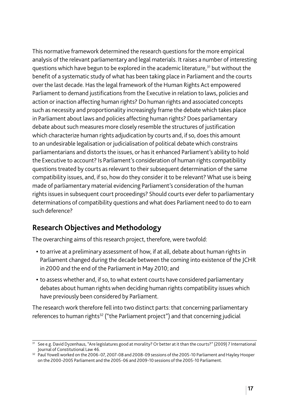This normative framework determined the research questions for the more empirical analysis of the relevant parliamentary and legal materials. It raises a number of interesting questions which have begun to be explored in the academic literature.<sup>31</sup> but without the benefit of a systematic study of what has been taking place in Parliament and the courts over the last decade. Has the legal framework of the Human Rights Act empowered Parliament to demand justifications from the Executive in relation to laws, policies and action or inaction affecting human rights? Do human rights and associated concepts such as necessity and proportionality increasingly frame the debate which takes place in Parliament about laws and policies affecting human rights? Does parliamentary debate about such measures more closely resemble the structures of justification which characterize human rights adjudication by courts and, if so, does this amount to an undesirable legalisation or judicialisation of political debate which constrains parliamentarians and distorts the issues, or has it enhanced Parliament's ability to hold the Executive to account? Is Parliament's consideration of human rights compatibility questions treated by courts as relevant to their subsequent determination of the same compatibility issues, and, if so, how do they consider it to be relevant? What use is being made of parliamentary material evidencing Parliament's consideration of the human rights issues in subsequent court proceedings? Should courts ever defer to parliamentary determinations of compatibility questions and what does Parliament need to do to earn such deference?

# **Research Objectives and Methodology**

The overarching aims of this research project, therefore, were twofold:

- to arrive at a preliminary assessment of how, if at all, debate about human rights in Parliament changed during the decade between the coming into existence of the JCHR in 2000 and the end of the Parliament in May 2010; and
- to assess whether and, if so, to what extent courts have considered parliamentary debates about human rights when deciding human rights compatibility issues which have previously been considered by Parliament.

The research work therefore fell into two distinct parts: that concerning parliamentary references to human rights<sup>32</sup> ("the Parliament project") and that concerning judicial

<sup>31</sup> See e.g. David Dyzenhaus, "Are legislatures good at morality? Or better at it than the courts?" (2009) 7 International Journal of Constitutional Law 46.

<sup>&</sup>lt;sup>32</sup> Paul Yowell worked on the 2006-07, 2007-08 and 2008-09 sessions of the 2005-10 Parliament and Hayley Hooper on the 2000-2005 Parliament and the 2005-06 and 2009-10 sessions of the 2005-10 Parliament.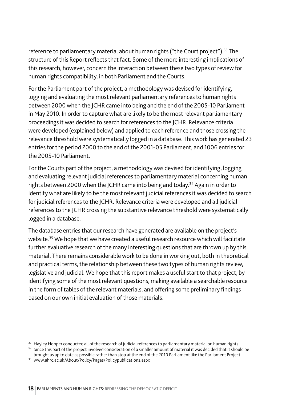reference to parliamentary material about human rights ("the Court project").<sup>33</sup> The structure of this Report reflects that fact. Some of the more interesting implications of this research, however, concern the interaction between these two types of review for human rights compatibility, in both Parliament and the Courts.

For the Parliament part of the project, a methodology was devised for identifying, logging and evaluating the most relevant parliamentary references to human rights between 2000 when the JCHR came into being and the end of the 2005-10 Parliament in May 2010. In order to capture what are likely to be the most relevant parliamentary proceedings it was decided to search for references to the JCHR. Relevance criteria were developed (explained below) and applied to each reference and those crossing the relevance threshold were systematically logged in a database. This work has generated 23 entries for the period 2000 to the end of the 2001-05 Parliament, and 1006 entries for the 2005-10 Parliament.

For the Courts part of the project, a methodology was devised for identifying, logging and evaluating relevant judicial references to parliamentary material concerning human rights between 2000 when the JCHR came into being and today.<sup>34</sup> Again in order to identify what are likely to be the most relevant judicial references it was decided to search for judicial references to the JCHR. Relevance criteria were developed and all judicial references to the JCHR crossing the substantive relevance threshold were systematically logged in a database.

The database entries that our research have generated are available on the project's website.<sup>35</sup> We hope that we have created a useful research resource which will facilitate further evaluative research of the many interesting questions that are thrown up by this material. There remains considerable work to be done in working out, both in theoretical and practical terms, the relationship between these two types of human rights review, legislative and judicial. We hope that this report makes a useful start to that project, by identifying some of the most relevant questions, making available a searchable resource in the form of tables of the relevant materials, and offering some preliminary findings based on our own initial evaluation of those materials.

<sup>&</sup>lt;sup>33</sup> Hayley Hooper conducted all of the research of judicial references to parliamentary material on human rights.

<sup>&</sup>lt;sup>34</sup> Since this part of the project involved consideration of a smaller amount of material it was decided that it should be brought as up to date as possible rather than stop at the end of the 2010 Parliament like the Parliament Project.

<sup>35</sup> www.ahrc.ac.uk/About/Policy/Pages/Policypublications.aspx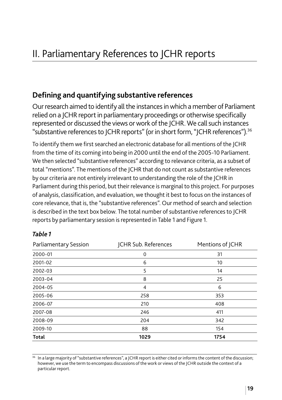#### **Defining and quantifying substantive references**

Our research aimed to identify all the instances in which a member of Parliament relied on a JCHR report in parliamentary proceedings or otherwise specifically represented or discussed the views or work of the JCHR. We call such instances "substantive references to ICHR reports" (or in short form, "ICHR references").<sup>36</sup>

To identify them we first searched an electronic database for all mentions of the JCHR from the time of its coming into being in 2000 until the end of the 2005-10 Parliament. We then selected "substantive references" according to relevance criteria, as a subset of total "mentions". The mentions of the JCHR that do not count as substantive references by our criteria are not entirely irrelevant to understanding the role of the JCHR in Parliament during this period, but their relevance is marginal to this project. For purposes of analysis, classification, and evaluation, we thought it best to focus on the instances of core relevance, that is, the "substantive references". Our method of search and selection is described in the text box below. The total number of substantive references to JCHR reports by parliamentary session is represented in Table 1 and Figure 1.

| Parliamentary Session | JCHR Sub. References | Mentions of JCHR |
|-----------------------|----------------------|------------------|
| 2000-01               | 0                    | 31               |
| 2001-02               | 6                    | 10               |
| 2002-03               | 5                    | 14               |
| 2003-04               | 8                    | 25               |
| 2004-05               | 4                    | 6                |
| 2005-06               | 258                  | 353              |
| 2006-07               | 210                  | 408              |
| 2007-08               | 246                  | 411              |
| 2008-09               | 204                  | 342              |
| 2009-10               | 88                   | 154              |
| <b>Total</b>          | 1029                 | 1754             |

#### *Table 1*

<sup>36</sup> In a large majority of "substantive references", a JCHR report is either cited or informs the content of the discussion; however, we use the term to encompass discussions of the work or views of the JCHR outside the context of a particular report.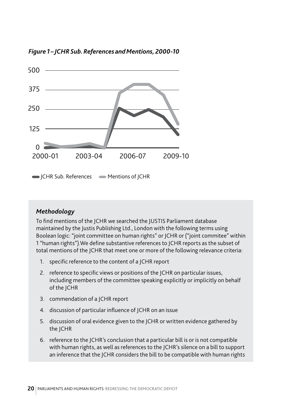*Figure 1 – JCHR Sub. References and Mentions, 2000-10*



*Methodology*

To find mentions of the JCHR we searched the JUSTIS Parliament database maintained by the Justis Publishing Ltd., London with the following terms using Boolean logic: "joint committee on human rights" or JCHR or ("joint commitee" within 1 "human rights").We define substantive references to JCHR reports as the subset of total mentions of the JCHR that meet one or more of the following relevance criteria:

- 1. specific reference to the content of a JCHR report
- 2. reference to specific views or positions of the JCHR on particular issues, including members of the committee speaking explicitly or implicitly on behalf of the JCHR
- 3. commendation of a JCHR report
- 4. discussion of particular influence of JCHR on an issue
- 5. discussion of oral evidence given to the JCHR or written evidence gathered by the JCHR
- 6. reference to the JCHR's conclusion that a particular bill is or is not compatible with human rights, as well as references to the JCHR's silence on a bill to support an inference that the JCHR considers the bill to be compatible with human rights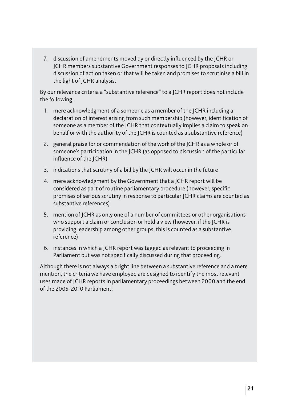7. discussion of amendments moved by or directly influenced by the JCHR or JCHR members substantive Government responses to JCHR proposals including discussion of action taken or that will be taken and promises to scrutinise a bill in the light of JCHR analysis.

By our relevance criteria a "substantive reference" to a JCHR report does not include the following:

- 1. mere acknowledgment of a someone as a member of the JCHR including a declaration of interest arising from such membership (however, identification of someone as a member of the JCHR that contextually implies a claim to speak on behalf or with the authority of the JCHR is counted as a substantive reference)
- 2. general praise for or commendation of the work of the JCHR as a whole or of someone's participation in the JCHR (as opposed to discussion of the particular influence of the  $|CHR\rangle$
- 3. indications that scrutiny of a bill by the JCHR will occur in the future
- 4. mere acknowledgment by the Government that a JCHR report will be considered as part of routine parliamentary procedure (however, specific promises of serious scrutiny in response to particular JCHR claims are counted as substantive references)
- 5. mention of JCHR as only one of a number of committees or other organisations who support a claim or conclusion or hold a view (however, if the JCHR is providing leadership among other groups, this is counted as a substantive reference)
- 6. instances in which a JCHR report was tagged as relevant to proceeding in Parliament but was not specifically discussed during that proceeding.

Although there is not always a bright line between a substantive reference and a mere mention, the criteria we have employed are designed to identify the most relevant uses made of JCHR reports in parliamentary proceedings between 2000 and the end of the 2005-2010 Parliament.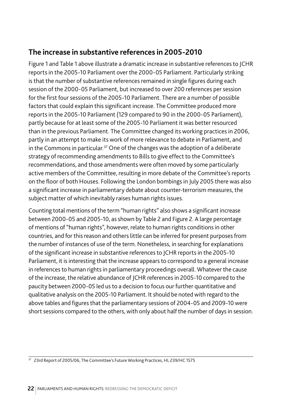#### **The increase in substantive references in 2005-2010**

Figure 1 and Table 1 above illustrate a dramatic increase in substantive references to JCHR reports in the 2005-10 Parliament over the 2000-05 Parliament. Particularly striking is that the number of substantive references remained in single figures during each session of the 2000-05 Parliament, but increased to over 200 references per session for the first four sessions of the 2005-10 Parliament. There are a number of possible factors that could explain this significant increase. The Committee produced more reports in the 2005-10 Parliament (129 compared to 90 in the 2000-05 Parliament), partly because for at least some of the 2005-10 Parliament it was better resourced than in the previous Parliament. The Committee changed its working practices in 2006, partly in an attempt to make its work of more relevance to debate in Parliament, and in the Commons in particular.<sup>37</sup> One of the changes was the adoption of a deliberate strategy of recommending amendments to Bills to give effect to the Committee's recommendations, and those amendments were often moved by some particularly active members of the Committee, resulting in more debate of the Committee's reports on the floor of both Houses. Following the London bombings in July 2005 there was also a significant increase in parliamentary debate about counter-terrorism measures, the subject matter of which inevitably raises human rights issues.

Counting total mentions of the term "human rights" also shows a significant increase between 2000-05 and 2005-10, as shown by Table 2 and Figure 2. A large percentage of mentions of "human rights", however, relate to human rights conditions in other countries, and for this reason and others little can be inferred for present purposes from the number of instances of use of the term. Nonetheless, in searching for explanations of the significant increase in substantive references to JCHR reports in the 2005-10 Parliament, it is interesting that the increase appears to correspond to a general increase in references to human rights in parliamentary proceedings overall. Whatever the cause of the increase, the relative abundance of JCHR references in 2005-10 compared to the paucity between 2000-05 led us to a decision to focus our further quantitative and qualitative analysis on the 2005-10 Parliament. It should be noted with regard to the above tables and figures that the parliamentary sessions of 2004-05 and 2009-10 were short sessions compared to the others, with only about half the number of days in session.

<sup>37</sup> 23rd Report of 2005/06, The Committee's Future Working Practices, HL 239/HC 1575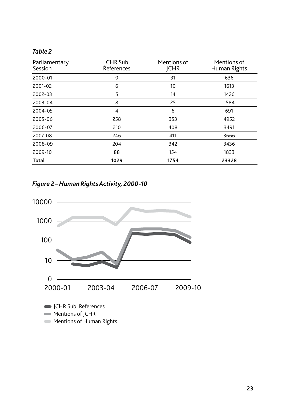#### *Table 2*

| Parliamentary<br>Session | JCHR Sub.<br>References | Mentions of<br><b>JCHR</b> | Mentions of<br>Human Rights |
|--------------------------|-------------------------|----------------------------|-----------------------------|
| 2000-01                  | 0                       | 31                         | 636                         |
| 2001-02                  | 6                       | 10                         | 1613                        |
| 2002-03                  | 5                       | 14                         | 1426                        |
| 2003-04                  | 8                       | 25                         | 1584                        |
| 2004-05                  | $\overline{4}$          | 6                          | 691                         |
| 2005-06                  | 258                     | 353                        | 4952                        |
| 2006-07                  | 210                     | 408                        | 3491                        |
| 2007-08                  | 246                     | 411                        | 3666                        |
| 2008-09                  | 204                     | 342                        | 3436                        |
| 2009-10                  | 88                      | 154                        | 1833                        |
| <b>Total</b>             | 1029                    | 1754                       | 23328                       |

*Figure 2 – Human Rights Activity, 2000-10*

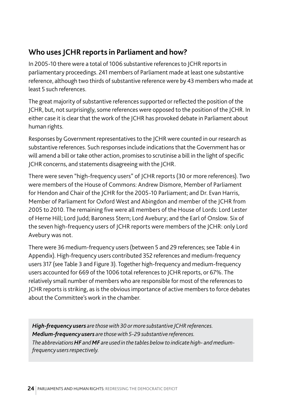# **Who uses JCHR reports in Parliament and how?**

In 2005-10 there were a total of 1006 substantive references to JCHR reports in parliamentary proceedings. 241 members of Parliament made at least one substantive reference, although two thirds of substantive reference were by 43 members who made at least 5 such references.

The great majority of substantive references supported or reflected the position of the JCHR, but, not surprisingly, some references were opposed to the position of the JCHR. In either case it is clear that the work of the JCHR has provoked debate in Parliament about human rights.

Responses by Government representatives to the JCHR were counted in our research as substantive references. Such responses include indications that the Government has or will amend a bill or take other action, promises to scrutinise a bill in the light of specific JCHR concerns, and statements disagreeing with the JCHR.

There were seven "high-frequency users" of JCHR reports (30 or more references). Two were members of the House of Commons: Andrew Dismore, Member of Parliament for Hendon and Chair of the JCHR for the 2005-10 Parliament; and Dr. Evan Harris, Member of Parliament for Oxford West and Abingdon and member of the JCHR from 2005 to 2010. The remaining five were all members of the House of Lords: Lord Lester of Herne Hill; Lord Judd; Baroness Stern; Lord Avebury; and the Earl of Onslow. Six of the seven high-frequency users of JCHR reports were members of the JCHR: only Lord Avebury was not.

There were 36 medium-frequency users (between 5 and 29 references; see Table 4 in Appendix). High-frequency users contributed 352 references and medium-frequency users 317 (see Table 3 and Figure 3). Together high-frequency and medium-frequency users accounted for 669 of the 1006 total references to JCHR reports, or 67%. The relatively small number of members who are responsible for most of the references to JCHR reports is striking, as is the obvious importance of active members to force debates about the Committee's work in the chamber.

*High-frequency users are those with 30 or more substantive JCHR references. Medium-frequency users are those with 5-29 substantive references. The abbreviations HF and MF are used in the tables below to indicate high- and mediumfrequency users respectively.*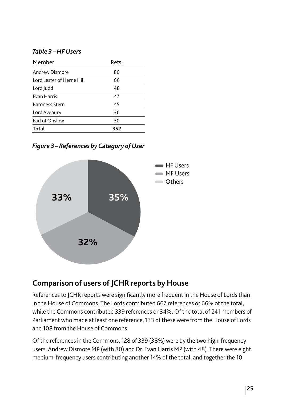#### *Table 3 – HF Users*

| Refs. |
|-------|
| 80    |
| 66    |
| 48    |
| 47    |
| 45    |
| 36    |
| 30    |
| 352   |
|       |

*Figure 3 – References by Category of User*



#### **Comparison of users of JCHR reports by House**

References to JCHR reports were significantly more frequent in the House of Lords than in the House of Commons. The Lords contributed 667 references or 66% of the total, while the Commons contributed 339 references or 34%. Of the total of 241 members of Parliament who made at least one reference, 133 of these were from the House of Lords and 108 from the House of Commons.

Of the references in the Commons, 128 of 339 (38%) were by the two high-frequency users, Andrew Dismore MP (with 80) and Dr. Evan Harris MP (with 48). There were eight medium-frequency users contributing another 14% of the total, and together the 10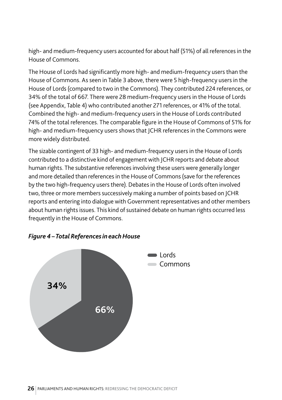high- and medium-frequency users accounted for about half (51%) of all references in the House of Commons.

The House of Lords had significantly more high- and medium-frequency users than the House of Commons. As seen in Table 3 above, there were 5 high-frequency users in the House of Lords (compared to two in the Commons). They contributed 224 references, or 34% of the total of 667. There were 28 medium-frequency users in the House of Lords (see Appendix, Table 4) who contributed another 271 references, or 41% of the total. Combined the high- and medium-frequency users in the House of Lords contributed 74% of the total references. The comparable figure in the House of Commons of 51% for high- and medium-frequency users shows that JCHR references in the Commons were more widely distributed.

The sizable contingent of 33 high- and medium-frequency users in the House of Lords contributed to a distinctive kind of engagement with JCHR reports and debate about human rights. The substantive references involving these users were generally longer and more detailed than references in the House of Commons (save for the references by the two high-frequency users there). Debates in the House of Lords often involved two, three or more members successively making a number of points based on JCHR reports and entering into dialogue with Government representatives and other members about human rights issues. This kind of sustained debate on human rights occurred less frequently in the House of Commons.



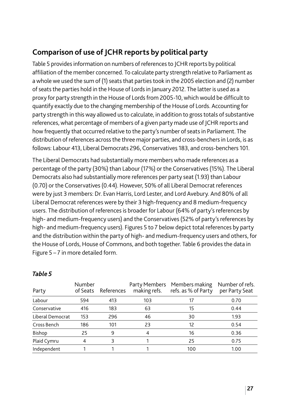# **Comparison of use of JCHR reports by political party**

Table 5 provides information on numbers of references to JCHR reports by political affiliation of the member concerned. To calculate party strength relative to Parliament as a whole we used the sum of (1) seats that parties took in the 2005 election and (2) number of seats the parties hold in the House of Lords in January 2012. The latter is used as a proxy for party strength in the House of Lords from 2005-10, which would be difficult to quantify exactly due to the changing membership of the House of Lords. Accounting for party strength in this way allowed us to calculate, in addition to gross totals of substantive references, what percentage of members of a given party made use of JCHR reports and how frequently that occurred relative to the party's number of seats in Parliament. The distribution of references across the three major parties, and cross-benchers in Lords, is as follows: Labour 413, Liberal Democrats 296, Conservatives 183, and cross-benchers 101.

The Liberal Democrats had substantially more members who made references as a percentage of the party (30%) than Labour (17%) or the Conservatives (15%). The Liberal Democrats also had substantially more references per party seat (1.93) than Labour (0.70) or the Conservatives (0.44). However, 50% of all Liberal Democrat references were by just 3 members: Dr. Evan Harris, Lord Lester, and Lord Avebury. And 80% of all Liberal Democrat references were by their 3 high-frequency and 8 medium-frequency users. The distribution of references is broader for Labour (64% of party's references by high- and medium-frequency users) and the Conservatives (52% of party's references by high- and medium-frequency users). Figures 5 to 7 below depict total references by party and the distribution within the party of high- and medium-frequency users and others, for the House of Lords, House of Commons, and both together. Table 6 provides the data in Figure 5 – 7 in more detailed form.

| Party            | Number<br>of Seats | References |     | Party Members Members making<br>making refs. refs. as % of Party | Number of refs.<br>per Party Seat |
|------------------|--------------------|------------|-----|------------------------------------------------------------------|-----------------------------------|
| Labour           | 594                | 413        | 103 | 17                                                               | 0.70                              |
| Conservative     | 416                | 183        | 63  | 15                                                               | 0.44                              |
| Liberal Democrat | 153                | 296        | 46  | 30                                                               | 1.93                              |
| Cross Bench      | 186                | 101        | 23  | 12                                                               | 0.54                              |
| Bishop           | 25                 | 9          | 4   | 16                                                               | 0.36                              |
| Plaid Cymru      | 4                  | 3          |     | 25                                                               | 0.75                              |
| Independent      |                    |            |     | 100                                                              | 1.00                              |

#### *Table 5*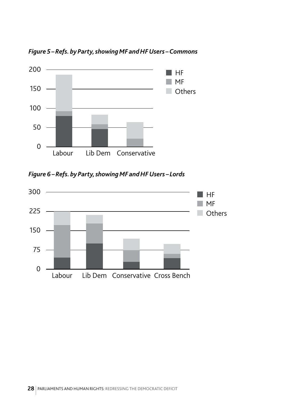*Figure 5 – Refs. by Party, showing MF and HF Users – Commons*



*Figure 6 – Refs. by Party, showing MF and HF Users – Lords*

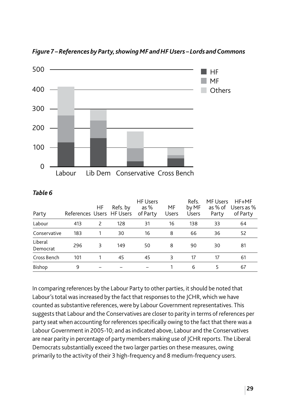

*Figure 7 – References by Party, showing MF and HF Users – Lords and Commons*

| ×<br>۰.<br>v.<br>۰.<br>$\sim$<br>× | ۰, |
|------------------------------------|----|
|------------------------------------|----|

| Party               | References Users HF Users | HF | Refs. by | <b>HF Users</b><br>as $%$<br>of Party | MF<br><b>Users</b> | Refs.<br>by MF<br><b>Users</b> | MF Users<br>as % of<br>Party | $HF+MF$<br>Users as %<br>of Party |
|---------------------|---------------------------|----|----------|---------------------------------------|--------------------|--------------------------------|------------------------------|-----------------------------------|
| Labour              | 413                       | 2  | 128      | 31                                    | 16                 | 138                            | 33                           | 64                                |
| Conservative        | 183                       |    | 30       | 16                                    | 8                  | 66                             | 36                           | 52                                |
| Liberal<br>Democrat | 296                       | 3  | 149      | 50                                    | 8                  | 90                             | 30                           | 81                                |
| Cross Bench         | 101                       |    | 45       | 45                                    | 3                  | 17                             | 17                           | 61                                |
| Bishop              | 9                         |    |          |                                       |                    | 6                              | 5                            | 67                                |

In comparing references by the Labour Party to other parties, it should be noted that Labour's total was increased by the fact that responses to the JCHR, which we have counted as substantive references, were by Labour Government representatives. This suggests that Labour and the Conservatives are closer to parity in terms of references per party seat when accounting for references specifically owing to the fact that there was a Labour Government in 2005-10; and as indicated above, Labour and the Conservatives are near parity in percentage of party members making use of JCHR reports. The Liberal Democrats substantially exceed the two larger parties on these measures, owing primarily to the activity of their 3 high-frequency and 8 medium-frequency users.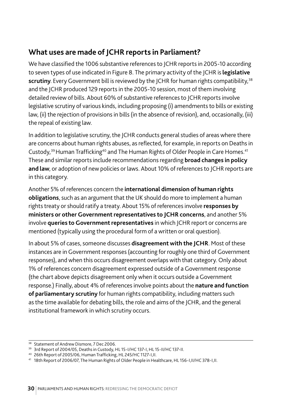# **What uses are made of JCHR reports in Parliament?**

We have classified the 1006 substantive references to JCHR reports in 2005-10 according to seven types of use indicated in Figure 8. The primary activity of the JCHR is **legislative scrutiny**. Every Government bill is reviewed by the JCHR for human rights compatibility,<sup>38</sup> and the JCHR produced 129 reports in the 2005-10 session, most of them involving detailed review of bills. About 60% of substantive references to JCHR reports involve legislative scrutiny of various kinds, including proposing (i) amendments to bills or existing law, (ii) the rejection of provisions in bills (in the absence of revision), and, occasionally, (iii) the repeal of existing law.

In addition to legislative scrutiny, the JCHR conducts general studies of areas where there are concerns about human rights abuses, as reflected, for example, in reports on Deaths in Custody,<sup>39</sup> Human Trafficking<sup>40</sup> and The Human Rights of Older People in Care Homes.<sup>41</sup> These and similar reports include recommendations regarding **broad changes in policy and law**, or adoption of new policies or laws. About 10% of references to JCHR reports are in this category.

Another 5% of references concern the **international dimension of human rights obligations**, such as an argument that the UK should do more to implement a human rights treaty or should ratify a treaty. About 15% of references involve **responses by ministers or other Government representatives to JCHR concerns**, and another 5% involve **queries to Government representatives** in which JCHR report or concerns are mentioned (typically using the procedural form of a written or oral question).

In about 5% of cases, someone discusses **disagreement with the JCHR**. Most of these instances are in Government responses (accounting for roughly one third of Government responses), and when this occurs disagreement overlaps with that category. Only about 1% of references concern disagreement expressed outside of a Government response (the chart above depicts disagreement only when it occurs outside a Government response.) Finally, about 4% of references involve points about the **nature and function of parliamentary scrutiny** for human rights compatibility, including matters such as the time available for debating bills, the role and aims of the JCHR, and the general institutional framework in which scrutiny occurs.

<sup>&</sup>lt;sup>38</sup> Statement of Andrew Dismore, 7 Dec 2006.

<sup>39</sup> 3rd Report of 2004/05, Deaths in Custody, HL 15-I/HC 137-I, HL 15-II/HC 137-II.

<sup>40</sup> 26th Report of 2005/06, Human Trafficking, HL 245/HC 1127-I,II.

<sup>41</sup> 18th Report of 2006/07, The Human Rights of Older People in Healthcare, HL 156-I,II/HC 378-I,II.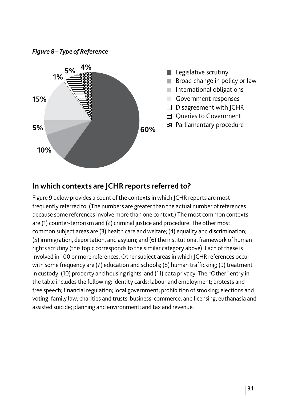*Figure 8 – Type of Reference*



#### **In which contexts are JCHR reports referred to?**

Figure 9 below provides a count of the contexts in which JCHR reports are most frequently referred to. (The numbers are greater than the actual number of references because some references involve more than one context.) The most common contexts are (1) counter-terrorism and (2) criminal justice and procedure. The other most common subject areas are (3) health care and welfare; (4) equality and discrimination; (5) immigration, deportation, and asylum; and (6) the institutional framework of human rights scrutiny (this topic corresponds to the similar category above). Each of these is involved in 100 or more references. Other subject areas in which JCHR references occur with some frequency are (7) education and schools; (8) human trafficking; (9) treatment in custody; (10) property and housing rights; and (11) data privacy. The "Other" entry in the table includes the following: identity cards; labour and employment; protests and free speech; financial regulation; local government; prohibition of smoking; elections and voting; family law; charities and trusts; business, commerce, and licensing; euthanasia and assisted suicide; planning and environment; and tax and revenue.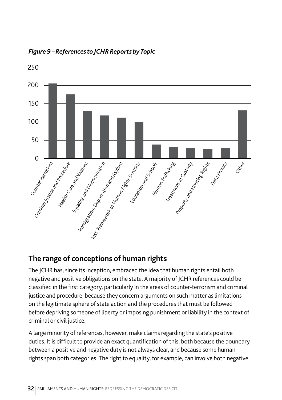

*Figure 9 – References to JCHR Reports by Topic*

# **The range of conceptions of human rights**

The JCHR has, since its inception, embraced the idea that human rights entail both negative and positive obligations on the state. A majority of JCHR references could be classified in the first category, particularly in the areas of counter-terrorism and criminal justice and procedure, because they concern arguments on such matter as limitations on the legitimate sphere of state action and the procedures that must be followed before depriving someone of liberty or imposing punishment or liability in the context of criminal or civil justice.

A large minority of references, however, make claims regarding the state's positive duties. It is difficult to provide an exact quantification of this, both because the boundary between a positive and negative duty is not always clear, and because some human rights span both categories. The right to equality, for example, can involve both negative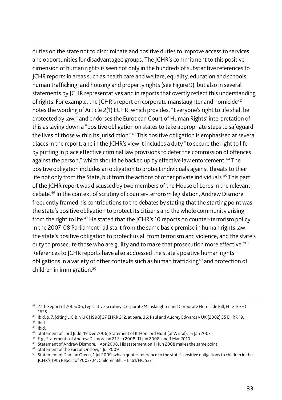duties on the state not to discriminate and positive duties to improve access to services and opportunities for disadvantaged groups. The JCHR's commitment to this positive dimension of human rights is seen not only in the hundreds of substantive references to JCHR reports in areas such as health care and welfare, equality, education and schools, human trafficking, and housing and property rights (see Figure 9), but also in several statements by JCHR representatives and in reports that overtly reflect this understanding of rights. For example, the JCHR's report on corporate manslaughter and homicide<sup>42</sup> notes the wording of Article 2(1) ECHR, which provides, "Everyone's right to life shall be protected by law," and endorses the European Court of Human Rights' interpretation of this as laying down a "positive obligation on states to take appropriate steps to safeguard the lives of those within its jurisdiction".<sup>43</sup> This positive obligation is emphasised at several places in the report, and in the JCHR's view it includes a duty "to secure the right to life by putting in place effective criminal law provisions to deter the commission of offences against the person," which should be backed up by effective law enforcement.<sup>44</sup> The positive obligation includes an obligation to protect individuals against threats to their life not only from the State, but from the actions of other private individuals.<sup>45</sup> This part of the JCHR report was discussed by two members of the House of Lords in the relevant debate.46 In the context of scrutiny of counter-terrorism legislation, Andrew Dismore frequently framed his contributions to the debates by stating that the starting point was the state's positive obligation to protect its citizens and the whole community arising from the right to life.<sup>47</sup> He stated that the ICHR's 10 reports on counter-terrorism policy in the 2007-08 Parliament "all start from the same basic premise in human rights law: the state's positive obligation to protect us all from terrorism and violence, and the state's duty to prosecute those who are guilty and to make that prosecution more effective."<sup>48</sup> References to JCHR reports have also addressed the state's positive human rights obligations in a variety of other contexts such as human trafficking<sup>49</sup> and protection of children in immigration.50

<sup>42</sup> 27th Report of 2005/06, Legislative Scrutiny: Corporate Manslaughter and Corporate Homicide Bill, HL 246/HC 1625

<sup>43</sup> Ibid. p. 7. (citing L.C.B. v UK (1998) 27 EHRR 212, at para. 36; Paul and Audrey Edwards v UK (2002) 35 EHRR 19.

<sup>44</sup> Ibid.

 $45$  Ibid.

<sup>46</sup> Statement of Lord Judd, 19 Dec 2006; Statement of RtHonLord Hunt (of Wirral), 15 Jan 2007.

<sup>47</sup> E.g., Statements of Andrew Dismore on 21 Feb 2008, 11 Jun 2008, and 1 Mar 2010.

<sup>&</sup>lt;sup>48</sup> Statement of Andrew Dismore, 1 Apr 2008. His statement on 11 Jun 2008 makes the same point.<br><sup>49</sup> Statement of the Earl of Onslow, 1 Jul 2009

<sup>&</sup>lt;sup>50</sup> Statement of Damian Green, 1 Jul 2009, which quotes reference to the state's positive obligations to children in the JCHR's 19th Report of 2003/04, Children Bill, HL 161/HC 537.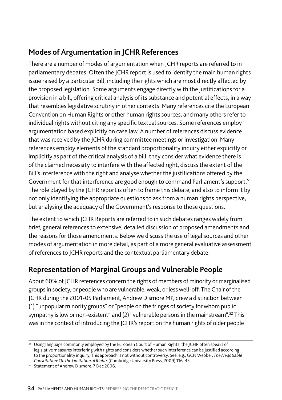# **Modes of Argumentation in JCHR References**

There are a number of modes of argumentation when JCHR reports are referred to in parliamentary debates. Often the JCHR report is used to identify the main human rights issue raised by a particular Bill, including the rights which are most directly affected by the proposed legislation. Some arguments engage directly with the justifications for a provision in a bill, offering critical analysis of its substance and potential effects, in a way that resembles legislative scrutiny in other contexts. Many references cite the European Convention on Human Rights or other human rights sources, and many others refer to individual rights without citing any specific textual sources. Some references employ argumentation based explicitly on case law. A number of references discuss evidence that was received by the JCHR during committee meetings or investigation. Many references employ elements of the standard proportionality inquiry either explicitly or implicitly as part of the critical analysis of a bill: they consider what evidence there is of the claimed necessity to interfere with the affected right, discuss the extent of the Bill's interference with the right and analyse whether the justifications offered by the Government for that interference are good enough to command Parliament's support.<sup>51</sup> The role played by the JCHR report is often to frame this debate, and also to inform it by not only identifying the appropriate questions to ask from a human rights perspective, but analysing the adequacy of the Government's response to those questions.

The extent to which JCHR Reports are referred to in such debates ranges widely from brief, general references to extensive, detailed discussion of proposed amendments and the reasons for those amendments. Below we discuss the use of legal sources and other modes of argumentation in more detail, as part of a more general evaluative assessment of references to JCHR reports and the contextual parliamentary debate.

# **Representation of Marginal Groups and Vulnerable People**

About 60% of JCHR references concern the rights of members of minority or marginalised groups in society, or people who are vulnerable, weak, or less well-off. The Chair of the JCHR during the 2001-05 Parliament, Andrew Dismore MP, drew a distinction between (1) "unpopular minority groups" or "people on the fringes of society for whom public sympathy is low or non-existent" and (2) "vulnerable persons in the mainstream".<sup>52</sup> This was in the context of introducing the JCHR's report on the human rights of older people

<sup>&</sup>lt;sup>51</sup> Using language commonly employed by the European Court of Human Rights, the JCHR often speaks of legislative measures interfering with rights and considers whether such interference can be justified according to the proportionality inquiry. This approach is not without controversy. See, e.g., GCN Webber, *The Negotiable Constitution: On the Limitation of Rights* (Cambridge University Press, 2009) 116-45.

<sup>&</sup>lt;sup>52</sup> Statement of Andrew Dismore, 7 Dec 2006.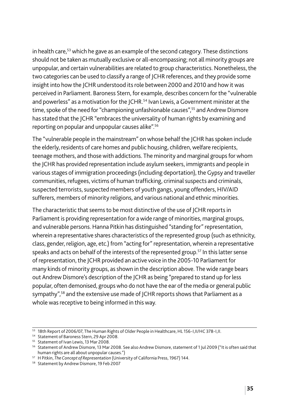in health care, $53$  which he gave as an example of the second category. These distinctions should not be taken as mutually exclusive or all-encompassing; not all minority groups are unpopular, and certain vulnerabilities are related to group characteristics. Nonetheless, the two categories can be used to classify a range of JCHR references, and they provide some insight into how the JCHR understood its role between 2000 and 2010 and how it was perceived in Parliament. Baroness Stern, for example, describes concern for the "vulnerable and powerless" as a motivation for the JCHR.<sup>54</sup> Ivan Lewis, a Government minister at the time, spoke of the need for "championing unfashionable causes",<sup>55</sup> and Andrew Dismore has stated that the ICHR "embraces the universality of human rights by examining and reporting on popular and unpopular causes alike".56

The "vulnerable people in the mainstream" on whose behalf the JCHR has spoken include the elderly, residents of care homes and public housing, children, welfare recipients, teenage mothers, and those with addictions. The minority and marginal groups for whom the JCHR has provided representation include asylum seekers, immigrants and people in various stages of immigration proceedings (including deportation), the Gypsy and traveller communities, refugees, victims of human trafficking, criminal suspects and criminals, suspected terrorists, suspected members of youth gangs, young offenders, HIV/AID sufferers, members of minority religions, and various national and ethnic minorities.

The characteristic that seems to be most distinctive of the use of JCHR reports in Parliament is providing representation for a wide range of minorities, marginal groups, and vulnerable persons. Hanna Pitkin has distinguished "standing for" representation, wherein a representative shares characteristics of the represented group (such as ethnicity, class, gender, religion, age, etc.) from "acting for" representation, wherein a representative speaks and acts on behalf of the interests of the represented group.<sup>57</sup> In this latter sense of representation, the JCHR provided an active voice in the 2005-10 Parliament for many kinds of minority groups, as shown in the description above. The wide range bears out Andrew Dismore's description of the JCHR as being "prepared to stand up for less popular, often demonised, groups who do not have the ear of the media or general public sympathy",<sup>58</sup> and the extensive use made of JCHR reports shows that Parliament as a whole was receptive to being informed in this way.

<sup>&</sup>lt;sup>53</sup> 18th Report of 2006/07, The Human Rights of Older People in Healthcare, HL 156-I,II/HC 378-I,II.<br><sup>54</sup> Statement of Baroness Stern, 29 Apr 2008.<br><sup>55</sup> Statement of Ivan Lewis, 13 Mar 2008.

<sup>&</sup>lt;sup>56</sup> Statement of Andrew Dismore, 13 Mar 2008. See also Andrew Dismore, statement of 1 Jul 2009 ("It is often said that human rights are all about unpopular causes.")

<sup>&</sup>lt;sup>57</sup> H Pitkin, *The Concept of Representation* (University of California Press, 1967) 144.<br><sup>58</sup> Statement by Andrew Dismore, 19 Feb 2007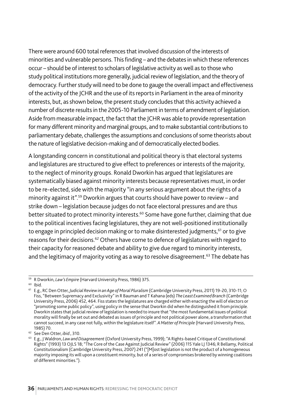There were around 600 total references that involved discussion of the interests of minorities and vulnerable persons. This finding – and the debates in which these references occur – should be of interest to scholars of legislative activity as well as to those who study political institutions more generally, judicial review of legislation, and the theory of democracy. Further study will need to be done to gauge the overall impact and effectiveness of the activity of the JCHR and the use of its reports in Parliament in the area of minority interests, but, as shown below, the present study concludes that this activity achieved a number of discrete results in the 2005-10 Parliament in terms of amendment of legislation. Aside from measurable impact, the fact that the JCHR was able to provide representation for many different minority and marginal groups, and to make substantial contributions to parliamentary debate, challenges the assumptions and conclusions of some theorists about the nature of legislative decision-making and of democratically elected bodies.

A longstanding concern in constitutional and political theory is that electoral systems and legislatures are structured to give effect to preferences or interests of the majority, to the neglect of minority groups. Ronald Dworkin has argued that legislatures are systematically biased against minority interests because representatives must, in order to be re-elected, side with the majority "in any serious argument about the rights of a minority against it".59 Dworkin argues that courts should have power to review – and strike down – legislation because judges do not face electoral pressures and are thus better situated to protect minority interests.<sup>60</sup> Some have gone further, claiming that due to the political incentives facing legislatures, they are not well-positioned institutionally to engage in principled decision making or to make disinterested judgments,<sup>61</sup> or to give reasons for their decisions.62 Others have come to defence of legislatures with regard to their capacity for reasoned debate and ability to give due regard to minority interests, and the legitimacy of majority voting as a way to resolve disagreement.<sup>63</sup> The debate has

<sup>59</sup> R Dworkin, *Law's Empire* (Harvard University Press, 1986) 375.

<sup>60</sup> Ibid. 61 E.g., RC Den Otter, *Judicial Review in an Age of Moral Pluralism* (Cambridge University Press, 2011) 19-20, 310-11; O Fiss, "Between Supremacy and Exclusivity" in R Bauman and T Kahana (eds) *The Least Examined Branch* (Cambridge University Press, 2006) 452, 464. Fiss states the legislatures are charged either with enacting the will of electors or "promoting some public policy", using policy in the sense that Dworkin did when he distinguished it from principle. Dworkin states that judicial review of legislation is needed to insure that "the most fundamental issues of political morality will finally be set out and debated as issues of principle and not political power alone, a transformation that cannot succeed, in any case not fully, within the legislature itself". *A Matter of Principle* (Harvard University Press, 1985) 70.

<sup>62</sup> See Den Otter, *ibid*., 310.

<sup>63</sup> E.g., J Waldron, *Law and Disagreement* (Oxford University Press, 1999); "A Rights-based Critique of Constitutional Rights" (1993) 13 OJLS 18; "The Core of the Case Against Judicial Review" (2006) 115 Yale LJ 1346; R Bellamy, Political Constitutionalism (Cambridge University Press, 2007) 241 ("[M]ost legislation is not the product of a homogeneous majority imposing its will upon a constituent minority, but of a series of compromises brokered by winning coalitions of different minorities.").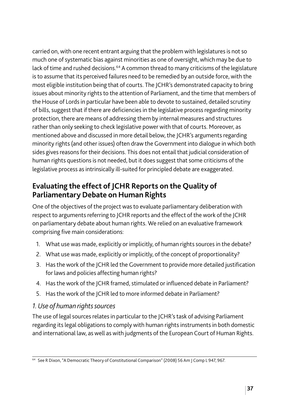carried on, with one recent entrant arguing that the problem with legislatures is not so much one of systematic bias against minorities as one of oversight, which may be due to lack of time and rushed decisions.<sup>64</sup> A common thread to many criticisms of the legislature is to assume that its perceived failures need to be remedied by an outside force, with the most eligible institution being that of courts. The JCHR's demonstrated capacity to bring issues about minority rights to the attention of Parliament, and the time that members of the House of Lords in particular have been able to devote to sustained, detailed scrutiny of bills, suggest that if there are deficiencies in the legislative process regarding minority protection, there are means of addressing them by internal measures and structures rather than only seeking to check legislative power with that of courts. Moreover, as mentioned above and discussed in more detail below, the JCHR's arguments regarding minority rights (and other issues) often draw the Government into dialogue in which both sides gives reasons for their decisions. This does not entail that judicial consideration of human rights questions is not needed, but it does suggest that some criticisms of the legislative process as intrinsically ill-suited for principled debate are exaggerated.

# **Evaluating the effect of JCHR Reports on the Quality of Parliamentary Debate on Human Rights**

One of the objectives of the project was to evaluate parliamentary deliberation with respect to arguments referring to JCHR reports and the effect of the work of the JCHR on parliamentary debate about human rights. We relied on an evaluative framework comprising five main considerations:

- 1. What use was made, explicitly or implicitly, of human rights sources in the debate?
- 2. What use was made, explicitly or implicitly, of the concept of proportionality?
- 3. Has the work of the JCHR led the Government to provide more detailed justification for laws and policies affecting human rights?
- 4. Has the work of the JCHR framed, stimulated or influenced debate in Parliament?
- 5. Has the work of the JCHR led to more informed debate in Parliament?

#### *1. Use of human rights sources*

The use of legal sources relates in particular to the JCHR's task of advising Parliament regarding its legal obligations to comply with human rights instruments in both domestic and international law, as well as with judgments of the European Court of Human Rights.

<sup>64</sup> See R Dixon, "A Democratic Theory of Constitutional Comparison" (2008) 56 Am J Comp L 947, 967.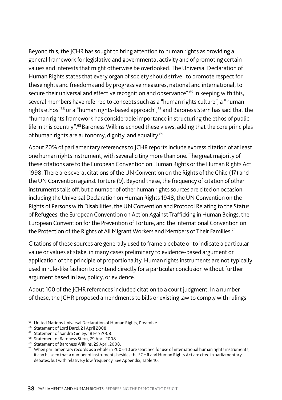Beyond this, the JCHR has sought to bring attention to human rights as providing a general framework for legislative and governmental activity and of promoting certain values and interests that might otherwise be overlooked. The Universal Declaration of Human Rights states that every organ of society should strive "to promote respect for these rights and freedoms and by progressive measures, national and international, to secure their universal and effective recognition and observance".<sup>65</sup> In keeping with this, several members have referred to concepts such as a "human rights culture", a "human rights ethos"<sup>66</sup> or a "human rights-based approach",<sup>67</sup> and Baroness Stern has said that the "human rights framework has considerable importance in structuring the ethos of public life in this country".68 Baroness Wilkins echoed these views, adding that the core principles of human rights are autonomy, dignity, and equality.69

About 20% of parliamentary references to JCHR reports include express citation of at least one human rights instrument, with several citing more than one. The great majority of these citations are to the European Convention on Human Rights or the Human Rights Act 1998. There are several citations of the UN Convention on the Rights of the Child (17) and the UN Convention against Torture (9). Beyond these, the frequency of citation of other instruments tails off, but a number of other human rights sources are cited on occasion, including the Universal Declaration on Human Rights 1948, the UN Convention on the Rights of Persons with Disabilities, the UN Convention and Protocol Relating to the Status of Refugees, the European Convention on Action Against Trafficking in Human Beings, the European Convention for the Prevention of Torture, and the International Convention on the Protection of the Rights of All Migrant Workers and Members of Their Families.<sup>70</sup>

Citations of these sources are generally used to frame a debate or to indicate a particular value or values at stake, in many cases preliminary to evidence-based argument or application of the principle of proportionality. Human rights instruments are not typically used in rule-like fashion to contend directly for a particular conclusion without further argument based in law, policy, or evidence.

About 100 of the JCHR references included citation to a court judgment. In a number of these, the JCHR proposed amendments to bills or existing law to comply with rulings

<sup>&</sup>lt;sup>65</sup> United Nations Universal Declaration of Human Rights, Preamble.

<sup>66</sup> Statement of Lord Darzi, 21 April 2008.

<sup>&</sup>lt;sup>67</sup> Statement of Sandra Gidley, 18 Feb 2008.

<sup>68</sup> Statement of Baroness Stern, 29 April 2008.

<sup>69</sup> Statement of Baroness Wilkins, 29 April 2008.

 $70$  When parliamentary records as a whole in 2005-10 are searched for use of international human rights instruments, it can be seen that a number of instruments besides the ECHR and Human Rights Act are cited in parliamentary debates, but with relatively low frequency. See Appendix, Table 10.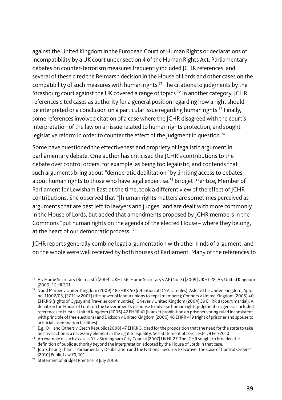against the United Kingdom in the European Court of Human Rights or declarations of incompatibility by a UK court under section 4 of the Human Rights Act. Parliamentary debates on counter-terrorism measures frequently included JCHR references, and several of these cited the Belmarsh decision in the House of Lords and other cases on the compatibility of such measures with human rights.71 The citations to judgments by the Strasbourg court against the UK covered a range of topics.<sup>72</sup> In another category, ICHR references cited cases as authority for a general position regarding how a right should be interpreted or a conclusion on a particular issue regarding human rights.<sup>73</sup> Finally, some references involved citation of a case where the JCHR disagreed with the court's interpretation of the law on an issue related to human rights protection, and sought legislative reform in order to counter the effect of the judgment in question.<sup>74</sup>

Some have questioned the effectiveness and propriety of legalistic argument in parliamentary debate. One author has criticised the JCHR's contributions to the debate over control orders, for example, as being too legalistic, and contends that such arguments bring about "democratic debilitation" by limiting access to debates about human rights to those who have legal expertise.<sup>75</sup> Bridget Prentice, Member of Parliament for Lewisham East at the time, took a different view of the effect of JCHR contributions. She observed that "[h]uman rights matters are sometimes perceived as arguments that are best left to lawyers and judges" and are dealt with more commonly in the House of Lords, but added that amendments proposed by JCHR members in the Commons "put human rights on the agenda of the elected House – where they belong, at the heart of our democratic process".76

JCHR reports generally combine legal argumentation with other kinds of argument, and on the whole were well received by both houses of Parliament. Many of the references to

 $\frac{1}{11}$  A v Home Secretary (Belmarsh) [2004] UKHL 56; Home Secretary v AF (No. 3) [2009] UKHL 28, A v United Kingdom [2009] ECHR 301

<sup>72</sup> S and Marper v United Kingdom (2009) 48 EHRR 50 (retention of DNA samples); Aslef v The United Kingdom, App. no. 11002/05, (27 May 2007) (the power of labour unions to expel members); Connors v United Kingdom (2005) 40 EHRR 9 (rights of Gypsy and Traveller communities); Grieves v United Kingdom (2004) 39 EHRR 8 (court martial). A debate in the House of Lords on the Government's response to adverse human rights judgments in general included references to Hirst v. United Kingdom (2006) 42 EHRR 41 (blanket prohibition on prisoner voting ruled inconsistent with principle of free elections) and Dickson v United Kingdom (2006) 46 EHRR 419 (right of prisoner and spouse to<br>artificial insemination facilities).

<sup>&</sup>lt;sup>73</sup> E.g., DH and Others v Czech Republic (2008) 47 EHRR 3, cited for the proposition that the need for the state to take positive action is a necessary element in the right to equality. See Statement of Lord Lester, 9 Feb 2010.

<sup>74</sup> An example of such a case is YL v Birmingham City Council [2007] UKHL 27. The JCHR sought to broaden the definition of public authority beyond the interpretation adopted by the House of Lords in that case.

<sup>75</sup> Joo-Cheong Tham, "Parliamentary Deliberation and the National Security Executive: The Case of Control Orders" [2010] Public Law 79, 101.

<sup>76</sup> Statement of Bridget Prentice, 3 July 2009.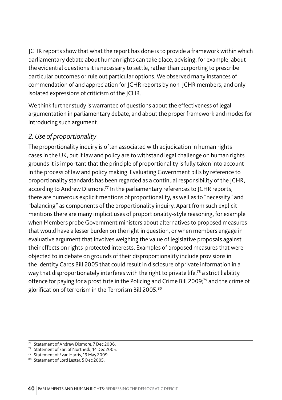JCHR reports show that what the report has done is to provide a framework within which parliamentary debate about human rights can take place, advising, for example, about the evidential questions it is necessary to settle, rather than purporting to prescribe particular outcomes or rule out particular options. We observed many instances of commendation of and appreciation for JCHR reports by non-JCHR members, and only isolated expressions of criticism of the JCHR.

We think further study is warranted of questions about the effectiveness of legal argumentation in parliamentary debate, and about the proper framework and modes for introducing such argument.

#### *2. Use of proportionality*

The proportionality inquiry is often associated with adjudication in human rights cases in the UK, but if law and policy are to withstand legal challenge on human rights grounds it is important that the principle of proportionality is fully taken into account in the process of law and policy making. Evaluating Government bills by reference to proportionality standards has been regarded as a continual responsibility of the JCHR, according to Andrew Dismore.<sup>77</sup> In the parliamentary references to JCHR reports, there are numerous explicit mentions of proportionality, as well as to "necessity" and "balancing" as components of the proportionality inquiry. Apart from such explicit mentions there are many implicit uses of proportionality-style reasoning, for example when Members probe Government ministers about alternatives to proposed measures that would have a lesser burden on the right in question, or when members engage in evaluative argument that involves weighing the value of legislative proposals against their effects on rights-protected interests. Examples of proposed measures that were objected to in debate on grounds of their disproportionality include provisions in the Identity Cards Bill 2005 that could result in disclosure of private information in a way that disproportionately interferes with the right to private life,<sup>78</sup> a strict liability offence for paying for a prostitute in the Policing and Crime Bill 2009;<sup>79</sup> and the crime of glorification of terrorism in the Terrorism Bill 2005.80

<sup>77</sup> Statement of Andrew Dismore, 7 Dec 2006.

<sup>78</sup> Statement of Earl of Northesk, 14 Dec 2005.

<sup>79</sup> Statement of Evan Harris, 19 May 2009.

<sup>80</sup> Statement of Lord Lester, 5 Dec 2005.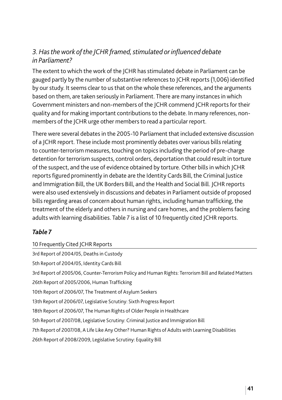#### 3. Has the work of the *JCHR framed, stimulated or influenced debate in Parliament?*

The extent to which the work of the JCHR has stimulated debate in Parliament can be gauged partly by the number of substantive references to JCHR reports (1,006) identified by our study. It seems clear to us that on the whole these references, and the arguments based on them, are taken seriously in Parliament. There are many instances in which Government ministers and non-members of the JCHR commend JCHR reports for their quality and for making important contributions to the debate. In many references, nonmembers of the JCHR urge other members to read a particular report.

There were several debates in the 2005-10 Parliament that included extensive discussion of a JCHR report. These include most prominently debates over various bills relating to counter-terrorism measures, touching on topics including the period of pre-charge detention for terrorism suspects, control orders, deportation that could result in torture of the suspect, and the use of evidence obtained by torture. Other bills in which JCHR reports figured prominently in debate are the Identity Cards Bill, the Criminal Justice and Immigration Bill, the UK Borders Bill, and the Health and Social Bill. JCHR reports were also used extensively in discussions and debates in Parliament outside of proposed bills regarding areas of concern about human rights, including human trafficking, the treatment of the elderly and others in nursing and care homes, and the problems facing adults with learning disabilities. Table 7 is a list of 10 frequently cited JCHR reports.

#### *Table 7*

| 10 Frequently Cited JCHR Reports                                                                     |
|------------------------------------------------------------------------------------------------------|
| 3rd Report of 2004/05, Deaths in Custody                                                             |
| 5th Report of 2004/05, Identity Cards Bill                                                           |
| 3rd Report of 2005/06, Counter-Terrorism Policy and Human Rights: Terrorism Bill and Related Matters |
| 26th Report of 2005/2006, Human Trafficking                                                          |
| 10th Report of 2006/07, The Treatment of Asylum Seekers                                              |
| 13th Report of 2006/07, Legislative Scrutiny: Sixth Progress Report                                  |
| 18th Report of 2006/07, The Human Rights of Older People in Healthcare                               |
| 5th Report of 2007/08, Legislative Scrutiny: Criminal Justice and Immigration Bill                   |
| 7th Report of 2007/08, A Life Like Any Other? Human Rights of Adults with Learning Disabilities      |
| 26th Report of 2008/2009, Legislative Scrutiny: Equality Bill                                        |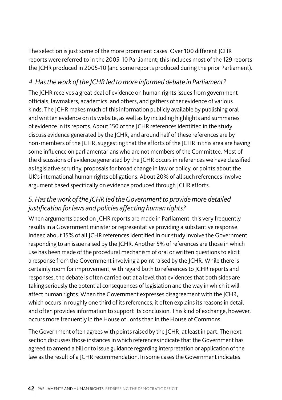The selection is just some of the more prominent cases. Over 100 different JCHR reports were referred to in the 2005-10 Parliament; this includes most of the 129 reports the JCHR produced in 2005-10 (and some reports produced during the prior Parliament).

#### *4. Has the work of the JCHR led to more informed debate in Parliament?*

The JCHR receives a great deal of evidence on human rights issues from government officials, lawmakers, academics, and others, and gathers other evidence of various kinds. The JCHR makes much of this information publicly available by publishing oral and written evidence on its website, as well as by including highlights and summaries of evidence in its reports. About 150 of the JCHR references identified in the study discuss evidence generated by the JCHR, and around half of these references are by non-members of the JCHR, suggesting that the efforts of the JCHR in this area are having some influence on parliamentarians who are not members of the Committee. Most of the discussions of evidence generated by the JCHR occurs in references we have classified as legislative scrutiny, proposals for broad change in law or policy, or points about the UK's international human rights obligations. About 20% of all such references involve argument based specifically on evidence produced through JCHR efforts.

#### *5. Has the work of the JCHR led the Government to provide more detailed justification for laws and policies affecting human rights?*

When arguments based on JCHR reports are made in Parliament, this very frequently results in a Government minister or representative providing a substantive response. Indeed about 15% of all JCHR references identified in our study involve the Government responding to an issue raised by the JCHR. Another 5% of references are those in which use has been made of the procedural mechanism of oral or written questions to elicit a response from the Government involving a point raised by the JCHR. While there is certainly room for improvement, with regard both to references to JCHR reports and responses, the debate is often carried out at a level that evidences that both sides are taking seriously the potential consequences of legislation and the way in which it will affect human rights. When the Government expresses disagreement with the JCHR, which occurs in roughly one third of its references, it often explains its reasons in detail and often provides information to support its conclusion. This kind of exchange, however, occurs more frequently in the House of Lords than in the House of Commons.

The Government often agrees with points raised by the JCHR, at least in part. The next section discusses those instances in which references indicate that the Government has agreed to amend a bill or to issue guidance regarding interpretation or application of the law as the result of a JCHR recommendation. In some cases the Government indicates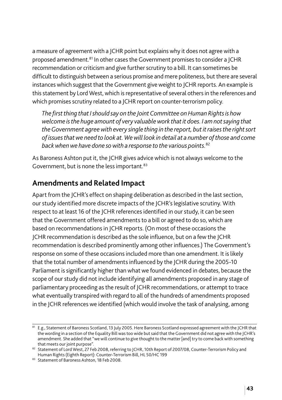a measure of agreement with a JCHR point but explains why it does not agree with a proposed amendment.81 In other cases the Government promises to consider a JCHR recommendation or criticism and give further scrutiny to a bill. It can sometimes be difficult to distinguish between a serious promise and mere politeness, but there are several instances which suggest that the Government give weight to JCHR reports. An example is this statement by Lord West, which is representative of several others in the references and which promises scrutiny related to a JCHR report on counter-terrorism policy.

*The first thing that I should say on the Joint Committee on Human Rights is how welcome is the huge amount of very valuable work that it does. I am not saying that the Government agree with every single thing in the report, but it raises the right sort of issues that we need to look at. We will look in detail at a number of those and come back when we have done so with a response to the various points.*<sup>82</sup>

As Baroness Ashton put it, the JCHR gives advice which is not always welcome to the Government, but is none the less important.<sup>83</sup>

# **Amendments and Related Impact**

Apart from the JCHR's effect on shaping deliberation as described in the last section, our study identified more discrete impacts of the JCHR's legislative scrutiny. With respect to at least 16 of the JCHR references identified in our study, it can be seen that the Government offered amendments to a bill or agreed to do so, which are based on recommendations in JCHR reports. (On most of these occasions the JCHR recommendation is described as the sole influence, but on a few the JCHR recommendation is described prominently among other influences.) The Government's response on some of these occasions included more than one amendment. It is likely that the total number of amendments influenced by the JCHR during the 2005-10 Parliament is significantly higher than what we found evidenced in debates, because the scope of our study did not include identifying all amendments proposed in any stage of parliamentary proceeding as the result of JCHR recommendations, or attempt to trace what eventually transpired with regard to all of the hundreds of amendments proposed in the JCHR references we identified (which would involve the task of analysing, among

<sup>81</sup> E.g., Statement of Baroness Scotland, 13 July 2005. Here Baroness Scotland expressed agreement with the JCHR that the wording in a section of the Equality Bill was too wide but said that the Government did not agree with the JCHR's amendment. She added that "we will continue to give thought to the matter [and] try to come back with something that meets our joint purpose".

<sup>82</sup> Statement of Lord West, 27 Feb 2008, referring to JCHR, 10th Report of 2007/08, Counter-Terrorism Policy and Human Rights (Eighth Report): Counter-Terrorism Bill, HL 50/HC 199

<sup>83</sup> Statement of Baroness Ashton, 18 Feb 2008.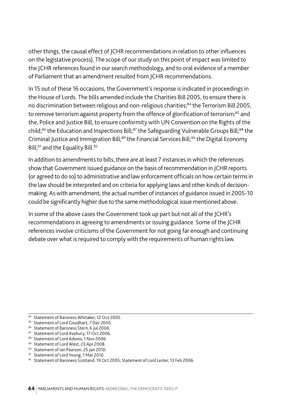other things, the causal effect of JCHR recommendations in relation to other influences on the legislative process). The scope of our study on this point of impact was limited to the JCHR references found in our search methodology, and to oral evidence of a member of Parliament that an amendment resulted from JCHR recommendations.

In 15 out of these 16 occasions, the Government's response is indicated in proceedings in the House of Lords. The bills amended include the Charities Bill 2005, to ensure there is no discrimination between religious and non-religious charities;<sup>84</sup> the Terrorism Bill 2005, to remove terrorism against property from the offence of glorification of terrorism;<sup>85</sup> and the, Police and Justice Bill, to ensure conformity with UN Convention on the Rights of the child;<sup>86</sup> the Education and Inspections Bill;<sup>87</sup> the Safeguarding Vulnerable Groups Bill;<sup>88</sup> the Criminal Justice and Immigration Bill;<sup>89</sup> the Financial Services Bill;<sup>90</sup> the Digital Economy Bill;<sup>91</sup> and the Equality Bill.<sup>92</sup>

In addition to amendments to bills, there are at least 7 instances in which the references show that Government issued guidance on the basis of recommendation in JCHR reports (or agreed to do so) to administrative and law enforcement officials on how certain terms in the law should be interpreted and on criteria for applying laws and other kinds of decisionmaking. As with amendment, the actual number of instances of guidance issued in 2005-10 could be significantly higher due to the same methodological issue mentioned above.

In some of the above cases the Government took up part but not all of the JCHR's recommendations in agreeing to amendments or issuing guidance. Some of the JCHR references involve criticisms of the Government for not going far enough and continuing debate over what is required to comply with the requirements of human rights law.

 $84$  Statement of Baroness Whitaker, 12 Oct 2005.<br>  $85$  Statement of Lord Goodhart, 7 Dec 2005.

<sup>86</sup> Statement of Baroness Stern, 6 Jul 2006.

<sup>87</sup> Statement of Lord Avebury, 17 Oct 2006.

<sup>88</sup> Statement of Lord Adonis, 1 Nov 2006.

<sup>89</sup> Statement of Lord West, 23 Apr 2008.

<sup>&</sup>lt;sup>90</sup> Statement of Ian Pearson, 25 Jan 2010.<br><sup>91</sup> Statement of Lord Young, 1 Mar 2010.

<sup>92</sup> Statement of Baroness Scotland; 19 Oct 2005; Statement of Lord Lester, 13 Feb 2006.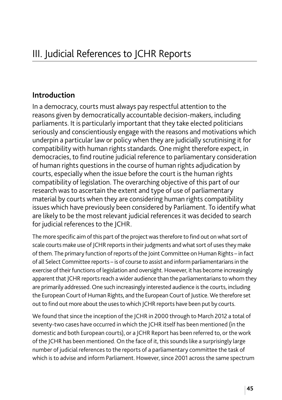#### **Introduction**

In a democracy, courts must always pay respectful attention to the reasons given by democratically accountable decision-makers, including parliaments. It is particularly important that they take elected politicians seriously and conscientiously engage with the reasons and motivations which underpin a particular law or policy when they are judicially scrutinising it for compatibility with human rights standards. One might therefore expect, in democracies, to find routine judicial reference to parliamentary consideration of human rights questions in the course of human rights adjudication by courts, especially when the issue before the court is the human rights compatibility of legislation. The overarching objective of this part of our research was to ascertain the extent and type of use of parliamentary material by courts when they are considering human rights compatibility issues which have previously been considered by Parliament. To identify what are likely to be the most relevant judicial references it was decided to search for judicial references to the JCHR.

The more specific aim of this part of the project was therefore to find out on what sort of scale courts make use of JCHR reports in their judgments and what sort of uses they make of them. The primary function of reports of the Joint Committee on Human Rights – in fact of all Select Committee reports – is of course to assist and inform parliamentarians in the exercise of their functions of legislation and oversight. However, it has become increasingly apparent that JCHR reports reach a wider audience than the parliamentarians to whom they are primarily addressed. One such increasingly interested audience is the courts, including the European Court of Human Rights, and the European Court of Justice. We therefore set out to find out more about the uses to which JCHR reports have been put by courts.

We found that since the inception of the JCHR in 2000 through to March 2012 a total of seventy-two cases have occurred in which the JCHR itself has been mentioned (in the domestic and both European courts), or a JCHR Report has been referred to, or the work of the JCHR has been mentioned. On the face of it, this sounds like a surprisingly large number of judicial references to the reports of a parliamentary committee the task of which is to advise and inform Parliament. However, since 2001 across the same spectrum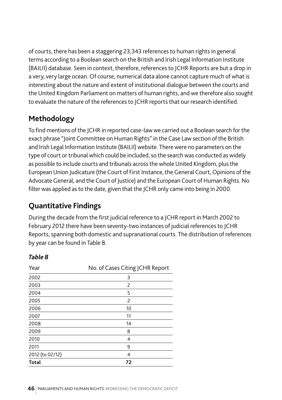of courts, there has been a staggering 23,343 references to human rights in general terms according to a Boolean search on the British and Irish Legal Information Institute (BAILII) database. Seen in context, therefore, references to JCHR Reports are but a drop in a very, very large ocean. Of course, numerical data alone cannot capture much of what is interesting about the nature and extent of institutional dialogue between the courts and the United Kingdom Parliament on matters of human rights, and we therefore also sought to evaluate the nature of the references to JCHR reports that our research identified.

# **Methodology**

To find mentions of the JCHR in reported case-law we carried out a Boolean search for the exact phrase "Joint Committee on Human Rights" in the Case Law section of the British and Irish Legal Information Institute (BAILII) website. There were no parameters on the type of court or tribunal which could be included, so the search was conducted as widely as possible to include courts and tribunals across the whole United Kingdom, plus the European Union Judicature (the Court of First Instance, the General Court, Opinions of the Advocate General, and the Court of Justice) and the European Court of Human Rights. No filter was applied as to the date, given that the JCHR only came into being in 2000.

# **Quantitative Findings**

During the decade from the first judicial reference to a JCHR report in March 2002 to February 2012 there have been seventy-two instances of judicial references to JCHR Reports, spanning both domestic and supranational courts. The distribution of references by year can be found in Table 8.

#### *Table 8*

| Year            | No. of Cases Citing JCHR Report |
|-----------------|---------------------------------|
| 2002            | 3                               |
| 2003            | 2                               |
| 2004            | 5                               |
| 2005            | 2                               |
| 2006            | 10                              |
| 2007            | 11                              |
| 2008            | 14                              |
| 2009            | 8                               |
| 2010            | 4                               |
| 2011            | 9                               |
| 2012 (to 02/12) | 4                               |
| <b>Total</b>    | 72                              |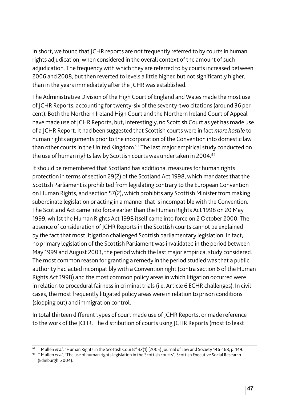In short, we found that JCHR reports are not frequently referred to by courts in human rights adjudication, when considered in the overall context of the amount of such adjudication. The frequency with which they are referred to by courts increased between 2006 and 2008, but then reverted to levels a little higher, but not significantly higher, than in the years immediately after the JCHR was established.

The Administrative Division of the High Court of England and Wales made the most use of JCHR Reports, accounting for twenty-six of the seventy-two citations (around 36 per cent). Both the Northern Ireland High Court and the Northern Ireland Court of Appeal have made use of JCHR Reports, but, interestingly, no Scottish Court as yet has made use of a JCHR Report. It had been suggested that Scottish courts were in fact *more hostile* to human rights arguments prior to the incorporation of the Convention into domestic law than other courts in the United Kingdom.<sup>93</sup> The last major empirical study conducted on the use of human rights law by Scottish courts was undertaken in 2004.<sup>94</sup>

It should be remembered that Scotland has additional measures for human rights protection in terms of section 29(2) of the Scotland Act 1998, which mandates that the Scottish Parliament is prohibited from legislating contrary to the European Convention on Human Rights, and section 57(2), which prohibits any Scottish Minister from making subordinate legislation or acting in a manner that is incompatible with the Convention. The Scotland Act came into force earlier than the Human Rights Act 1998 on 20 May 1999, whilst the Human Rights Act 1998 itself came into force on 2 October 2000. The absence of consideration of JCHR Reports in the Scottish courts cannot be explained by the fact that most litigation challenged Scottish parliamentary legislation. In fact, no primary legislation of the Scottish Parliament was invalidated in the period between May 1999 and August 2003, the period which the last major empirical study considered. The most common reason for granting a remedy in the period studied was that a public authority had acted incompatibly with a Convention right (contra section 6 of the Human Rights Act 1998) and the most common policy areas in which litigation occurred were in relation to procedural fairness in criminal trials (i.e. Article 6 ECHR challenges). In civil cases, the most frequently litigated policy areas were in relation to prison conditions (slopping out) and immigration control.

In total thirteen different types of court made use of JCHR Reports, or made reference to the work of the JCHR. The distribution of courts using JCHR Reports (most to least

<sup>93</sup> T Mullen *et al*, "Human Rights in the Scottish Courts" 32(1) (2005) Journal of Law and Society 146-168, p. 149.

<sup>94</sup> T Mullen *et al*, "The use of human rights legislation in the Scottish courts", Scottish Executive Social Research (Edinburgh, 2004).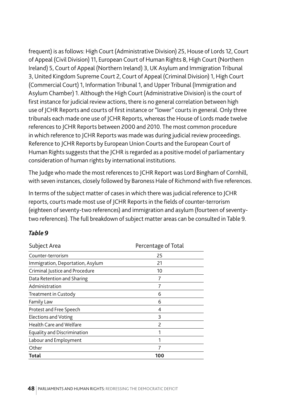frequent) is as follows: High Court (Administrative Division) 25, House of Lords 12, Court of Appeal (Civil Division) 11, European Court of Human Rights 8, High Court (Northern Ireland) 5, Court of Appeal (Northern Ireland) 3, UK Asylum and Immigration Tribunal 3, United Kingdom Supreme Court 2, Court of Appeal (Criminal Division) 1, High Court (Commercial Court) 1, Information Tribunal 1, and Upper Tribunal (Immigration and Asylum Chamber) 1. Although the High Court (Administrative Division) is the court of first instance for judicial review actions, there is no general correlation between high use of JCHR Reports and courts of first instance or "lower" courts in general. Only three tribunals each made one use of JCHR Reports, whereas the House of Lords made twelve references to JCHR Reports between 2000 and 2010. The most common procedure in which reference to JCHR Reports was made was during judicial review proceedings. Reference to JCHR Reports by European Union Courts and the European Court of Human Rights suggests that the JCHR is regarded as a positive model of parliamentary consideration of human rights by international institutions.

The Judge who made the most references to JCHR Report was Lord Bingham of Cornhill, with seven instances, closely followed by Baroness Hale of Richmond with five references.

In terms of the subject matter of cases in which there was judicial reference to JCHR reports, courts made most use of JCHR Reports in the fields of counter-terrorism (eighteen of seventy-two references) and immigration and asylum (fourteen of seventytwo references). The full breakdown of subject matter areas can be consulted in Table 9.

#### *Table 9*

| Subject Area                       | Percentage of Total      |
|------------------------------------|--------------------------|
| Counter-terrorism                  | 25                       |
| Immigration, Deportation, Asylum   | 21                       |
| Criminal Justice and Procedure     | 10                       |
| Data Retention and Sharing         | 7                        |
| Administration                     |                          |
| Treatment in Custody               | 6                        |
| Family Law                         | 6                        |
| Protest and Free Speech            | 4                        |
| <b>Elections and Voting</b>        | 3                        |
| <b>Health Care and Welfare</b>     | $\overline{\phantom{a}}$ |
| <b>Equality and Discrimination</b> | 1                        |
| Labour and Employment              |                          |
| Other                              | 7                        |
| Total                              | 100                      |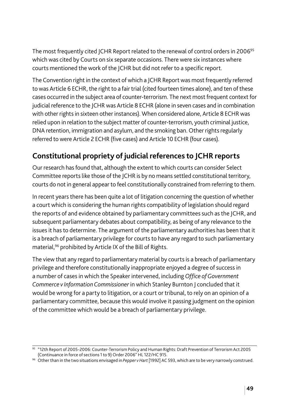The most frequently cited JCHR Report related to the renewal of control orders in 2006<sup>95</sup> which was cited by Courts on six separate occasions. There were six instances where courts mentioned the work of the JCHR but did not refer to a specific report.

The Convention right in the context of which a JCHR Report was most frequently referred to was Article 6 ECHR, the right to a fair trial (cited fourteen times alone), and ten of these cases occurred in the subject area of counter-terrorism. The next most frequent context for judicial reference to the JCHR was Article 8 ECHR (alone in seven cases and in combination with other rights in sixteen other instances). When considered alone, Article 8 ECHR was relied upon in relation to the subject matter of counter-terrorism, youth criminal justice, DNA retention, immigration and asylum, and the smoking ban. Other rights regularly referred to were Article 2 ECHR (five cases) and Article 10 ECHR (four cases).

# **Constitutional propriety of judicial references to JCHR reports**

Our research has found that, although the extent to which courts can consider Select Committee reports like those of the JCHR is by no means settled constitutional territory, courts do not in general appear to feel constitutionally constrained from referring to them.

In recent years there has been quite a lot of litigation concerning the question of whether a court which is considering the human rights compatibility of legislation should regard the reports of and evidence obtained by parliamentary committees such as the JCHR, and subsequent parliamentary debates about compatibility, as being of any relevance to the issues it has to determine. The argument of the parliamentary authorities has been that it is a breach of parliamentary privilege for courts to have any regard to such parliamentary material,96 prohibited by Article IX of the Bill of Rights.

The view that any regard to parliamentary material by courts is a breach of parliamentary privilege and therefore constitutionally inappropriate enjoyed a degree of success in a number of cases in which the Speaker intervened, including *Office of Government Commerce v Information Commissioner* in which Stanley Burnton J concluded that it would be wrong for a party to litigation, or a court or tribunal, to rely on an opinion of a parliamentary committee, because this would involve it passing judgment on the opinion of the committee which would be a breach of parliamentary privilege.

<sup>95</sup> "12th Report of 2005-2006: Counter-Terrorism Policy and Human Rights: Draft Prevention of Terrorism Act 2005 (Continuance in force of sections 1 to 9) Order 2006" HL 122/HC 915.

<sup>96</sup> Other than in the two situations envisaged in *Pepper v Hart* [1992] AC 593, which are to be very narrowly construed.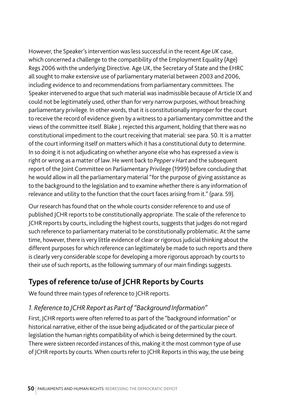However, the Speaker's intervention was less successful in the recent *Age UK* case, which concerned a challenge to the compatibility of the Employment Equality (Age) Regs 2006 with the underlying Directive. Age UK, the Secretary of State and the EHRC all sought to make extensive use of parliamentary material between 2003 and 2006, including evidence to and recommendations from parliamentary committees. The Speaker intervened to argue that such material was inadmissible because of Article IX and could not be legitimately used, other than for very narrow purposes, without breaching parliamentary privilege. In other words, that it is constitutionally improper for the court to receive the record of evidence given by a witness to a parliamentary committee and the views of the committee itself. Blake J. rejected this argument, holding that there was no constitutional impediment to the court receiving that material: see para. 50. It is a matter of the court informing itself on matters which it has a constitutional duty to determine. In so doing it is not adjudicating on whether anyone else who has expressed a view is right or wrong as a matter of law. He went back to *Pepper v Hart* and the subsequent report of the Joint Committee on Parliamentary Privilege (1999) before concluding that he would allow in all the parliamentary material "for the purpose of giving assistance as to the background to the legislation and to examine whether there is any information of relevance and utility to the function that the court faces arising from it." (para. 59).

Our research has found that on the whole courts consider reference to and use of published JCHR reports to be constitutionally appropriate. The scale of the reference to JCHR reports by courts, including the highest courts, suggests that judges do not regard such reference to parliamentary material to be constitutionally problematic. At the same time, however, there is very little evidence of clear or rigorous judicial thinking about the different purposes for which reference can legitimately be made to such reports and there is clearly very considerable scope for developing a more rigorous approach by courts to their use of such reports, as the following summary of our main findings suggests.

# **Types of reference to/use of JCHR Reports by Courts**

We found three main types of reference to JCHR reports.

#### *1. Reference to JCHR Report as Part of "Background Information"*

First, JCHR reports were often referred to as part of the "background information" or historical narrative, either of the issue being adjudicated or of the particular piece of legislation the human rights compatibility of which is being determined by the court. There were sixteen recorded instances of this, making it the most common type of use of JCHR reports by courts. When courts refer to JCHR Reports in this way, the use being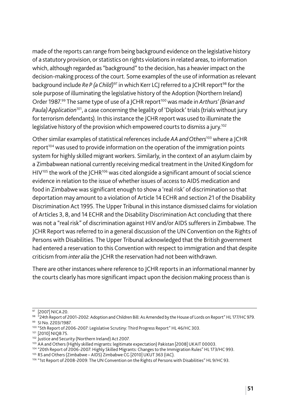made of the reports can range from being background evidence on the legislative history of a statutory provision, or statistics on rights violations in related areas, to information which, although regarded as "background" to the decision, has a heavier impact on the decision-making process of the court. Some examples of the use of information as relevant background include *Re P (a Child)<sup>97</sup>* in which Kerr LCJ referred to a JCHR report<sup>98</sup> for the sole purpose of illuminating the legislative history of the Adoption (Northern Ireland) Order 1987.<sup>99</sup> The same type of use of a JCHR report<sup>100</sup> was made in *Arthurs' (Brian and Paula) Application*101, a case concerning the legality of 'Diplock' trials (trials without jury for terrorism defendants). In this instance the JCHR report was used to illuminate the legislative history of the provision which empowered courts to dismiss a jury.102

Other similar examples of statistical references include *AA and Others*103 where a JCHR report $104$  was used to provide information on the operation of the immigration points system for highly skilled migrant workers. Similarly, in the context of an asylum claim by a Zimbabwean national currently receiving medical treatment in the United Kingdom for  $HIV^{105}$  the work of the  $ICHR^{106}$  was cited alongside a significant amount of social science evidence in relation to the issue of whether issues of access to AIDS medication and food in Zimbabwe was significant enough to show a 'real risk' of discrimination so that deportation may amount to a violation of Article 14 ECHR and section 21 of the Disability Discrimination Act 1995. The Upper Tribunal in this instance dismissed claims for violation of Articles 3, 8, and 14 ECHR and the Disability Discrimination Act concluding that there was not a "real risk" of discrimination against HIV and/or AIDS sufferers in Zimbabwe. The JCHR Report was referred to in a general discussion of the UN Convention on the Rights of Persons with Disabilities. The Upper Tribunal acknowledged that the British government had entered a reservation to this Convention with respect to immigration and that despite criticism from *inter alia* the JCHR the reservation had not been withdrawn.

There are other instances where reference to JCHR reports in an informational manner by the courts clearly has more significant impact upon the decision making process than is

<sup>97 [2007]</sup> NICA 20.

<sup>98</sup> "24th Report of 2001-2002: Adoption and Children Bill: As Amended by the House of Lords on Report" HL 177/HC 979.

<sup>99</sup> SI No. 2203/1987.

<sup>100</sup> "5th Report of 2006-2007: Legislative Scrutiny: Third Progress Report" HL 46/HC 303.

<sup>101 [2010]</sup> NIQB 75.

<sup>102</sup> Justice and Security (Northern Ireland) Act 2007.

<sup>103</sup> AA and Others (Highly skilled migrants: legitimate expectation) Pakistan [2008] UKAIT 00003.

<sup>104</sup> "20th Report of 2006-2007: Highly Skilled Migrants: Changes to the Immigration Rules" HL 173/HC 993.

<sup>105</sup> RS and Others (Zimbabwe – AIDS) Zimbabwe CG [2010] UKUT 363 (IAC).

<sup>&</sup>lt;sup>106</sup> "1st Report of 2008-2009: The UN Convention on the Rights of Persons with Disabilities" HL 9/HC 93.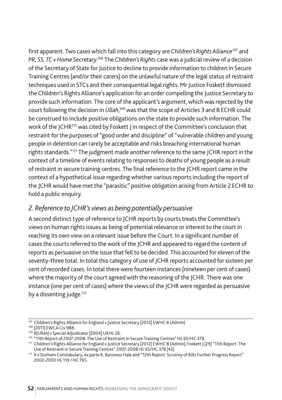first apparent. Two cases which fall into this category are *Children's Rights Alliance*107 and *PR, SS, TC v Home Secretary*. <sup>108</sup> The *Children's Rights* case was a judicial review of a decision of the Secretary of State for Justice to decline to provide information to children in Secure Training Centres (and/or their carers) on the unlawful nature of the legal status of restraint techniques used in STCs and their consequential legal rights. Mr Justice Foskett dismissed the Children's Rights Alliance's application for an order compelling the Justice Secretary to provide such information. The core of the applicant's argument, which was rejected by the court following the decision in *Ullah*, 109 was that the scope of Articles 3 and 8 ECHR could be construed to include positive obligations on the state to provide such information. The work of the JCHR<sup>110</sup> was cited by Foskett J in respect of the Committee's conclusion that restraint for the purposes of "good order and discipline" of "vulnerable children and young people in detention can rarely be acceptable and risks breaching international human rights standards."111 The judgment made another reference to the same JCHR report in the context of a timeline of events relating to responses to deaths of young people as a result of restraint in secure training centres. The final reference to the JCHR report came in the context of a hypothetical issue regarding whether various reports including the report of the JCHR would have met the "parasitic" positive obligation arising from Article 2 ECHR to hold a public enquiry.

#### *2. Reference to JCHR's views as being potentially persuasive*

A second distinct type of reference to JCHR reports by courts treats the Committee's views on human rights issues as being of potential relevance or interest to the court in reaching its own view on a relevant issue before the Court. In a significant number of cases the courts referred to the work of the JCHR and appeared to regard the content of reports as persuasive on the issue that fell to be decided. This accounted for eleven of the seventy-three total. In total this category of use of JCHR reports accounted for sixteen per cent of recorded cases. In total there were fourteen instances (nineteen per cent of cases) where the majority of the court agreed with the reasoning of the JCHR. There was one instance (one per cent of cases) where the views of the JCHR were regarded as persuasive by a dissenting judge.<sup>112</sup>

<sup>107</sup> Children's Rights Alliance for England v Justice Secretary [2012] EWHC 8 (Admin)

<sup>108</sup> [2011] EWCA Civ 988.

<sup>109</sup> *R(Ullah) v Special Adjudicator* [2004] UKHL 26.

<sup>110 &</sup>quot;11th Report of 2007-2008: The Use of Restraint in Secure Training Centres" HL 65/HC 378.

<sup>111</sup> Children's Rights Alliance for England v Justice Secretary [2012] EWHC 8 (Admin), Foskett J [29] "11th Report: The Use of Restraint in Secure Training Centres" 2007-2008 HL 65/HC 378 [42].

<sup>112</sup> R v Durham Constabulary, ex parte R, Baroness Hale and "12th Report: Scrutiny of Bills Further Progress Report" 2002-2003 HL 119 / HC 765.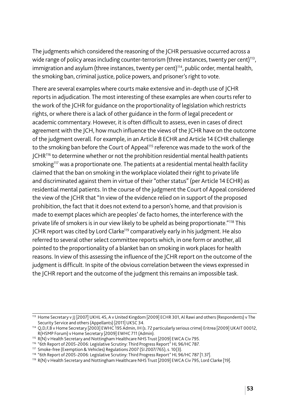The judgments which considered the reasoning of the JCHR persuasive occurred across a wide range of policy areas including counter-terrorism (three instances, twenty per cent)<sup>113</sup>, immigration and asylum (three instances, twenty per cent)<sup>114</sup>, public order, mental health, the smoking ban, criminal justice, police powers, and prisoner's right to vote.

There are several examples where courts make extensive and in-depth use of JCHR reports in adjudication. The most interesting of these examples are when courts refer to the work of the JCHR for guidance on the proportionality of legislation which restricts rights, or where there is a lack of other guidance in the form of legal precedent or academic commentary. However, it is often difficult to assess, even in cases of direct agreement with the JCH, how much influence the views of the JCHR have on the outcome of the judgment overall. For example, in an Article 8 ECHR and Article 14 ECHR challenge to the smoking ban before the Court of Appeal<sup>115</sup> reference was made to the work of the  $ICHR<sup>116</sup>$  to determine whether or not the prohibition residential mental health patients smoking<sup>117</sup> was a proportionate one. The patients at a residential mental health facility claimed that the ban on smoking in the workplace violated their right to private life and discriminated against them in virtue of their "other status" (per Article 14 ECHR) as residential mental patients. In the course of the judgment the Court of Appeal considered the view of the JCHR that "In view of the evidence relied on in support of the proposed prohibition, the fact that it does not extend to a person's home, and that provision is made to exempt places which are peoples' de facto homes, the interference with the private life of smokers is in our view likely to be upheld as being proportionate."118 This JCHR report was cited by Lord Clarke119 comparatively early in his judgment. He also referred to several other select committee reports which, in one form or another, all pointed to the proportionality of a blanket ban on smoking in work places for health reasons. In view of this assessing the influence of the JCHR report on the outcome of the judgment is difficult. In spite of the obvious correlation between the views expressed in the JCHR report and the outcome of the judgment this remains an impossible task.

<sup>113</sup> Home Secretary v JJ [2007] UKHL 45, A v United Kingdom [2009] ECHR 301, Al Rawi and others (Respondents) v The Security Service and others (Appellants) [2011] UKSC 34.<br>114 Q,D,F,B v Home Secretary [2003] EWHC 195 Admin, IH (s. 72 particularly serious crime) Eritrea [2009] UKAIT 00012,

R(HSMP Forum) v Home Secretary [2009] EWHC 711 (Admin).

<sup>&</sup>lt;sup>115</sup> R(N) v Health Secretary and Nottingham Healthcare NHS Trust [2009] EWCA Civ 795.

<sup>116 &</sup>quot;6th Report of 2005-2006: Legislative Scrutiny: Third Progress Report" HL 96/HC 787.

<sup>117</sup> Smoke-free (Exemption & Vehicles) Regulations 2007 (SI 2007/765), s. 10(3).

<sup>&</sup>lt;sup>118</sup> "6th Report of 2005-2006: Legislative Scrutiny: Third Progress Report" HL 96/HC 787 [1.37].<br><sup>119</sup> R(N) v Health Secretary and Nottingham Healthcare NHS Trust [2009] EWCA Civ 795, Lord Clarke [19].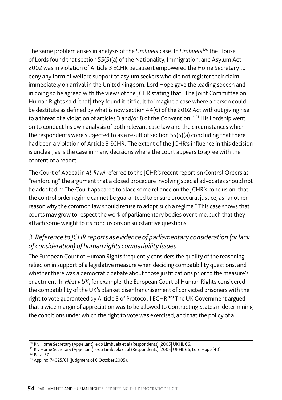The same problem arises in analysis of the *Limbuela* case. In *Limbuela*120 the House of Lords found that section 55(5)(a) of the Nationality, Immigration, and Asylum Act 2002 was in violation of Article 3 ECHR because it empowered the Home Secretary to deny any form of welfare support to asylum seekers who did not register their claim immediately on arrival in the United Kingdom. Lord Hope gave the leading speech and in doing so he agreed with the views of the JCHR stating that "The Joint Committee on Human Rights said [that] they found it difficult to imagine a case where a person could be destitute as defined by what is now section 44(6) of the 2002 Act without giving rise to a threat of a violation of articles 3 and/or 8 of the Convention."<sup>121</sup> His Lordship went on to conduct his own analysis of both relevant case law and the circumstances which the respondents were subjected to as a result of section 55(5)(a) concluding that there had been a violation of Article 3 ECHR. The extent of the JCHR's influence in this decision is unclear, as is the case in many decisions where the court appears to agree with the content of a report.

The Court of Appeal in *Al-Rawi* referred to the JCHR's recent report on Control Orders as "reinforcing" the argument that a closed procedure involving special advocates should not be adopted.122 The Court appeared to place some reliance on the JCHR's conclusion, that the control order regime cannot be guaranteed to ensure procedural justice, as "another reason why the common law should refuse to adopt such a regime." This case shows that courts may grow to respect the work of parliamentary bodies over time, such that they attach some weight to its conclusions on substantive questions.

#### *3. Reference to JCHR reports as evidence of parliamentary consideration (or lack of consideration) of human rights compatibility issues*

The European Court of Human Rights frequently considers the quality of the reasoning relied on in support of a legislative measure when deciding compatibility questions, and whether there was a democratic debate about those justifications prior to the measure's enactment. In *Hirst v UK*, for example, the European Court of Human Rights considered the compatibility of the UK's blanket disenfranchisement of convicted prisoners with the right to vote guaranteed by Article 3 of Protocol 1 ECHR.<sup>123</sup> The UK Government argued that a wide margin of appreciation was to be allowed to Contracting States in determining the conditions under which the right to vote was exercised, and that the policy of a

<sup>122</sup> Para. 57.

 $\frac{120}{120}$  R v Home Secretary (Appellant), ex p Limbuela et al (Respondents) [2005] UKHL 66.

<sup>121</sup> R v Home Secretary (Appellant), ex p Limbuela et al (Respondents) [2005] UKHL 66, Lord Hope [40].

<sup>123</sup> App. no. 74025/01 (judgment of 6 October 2005).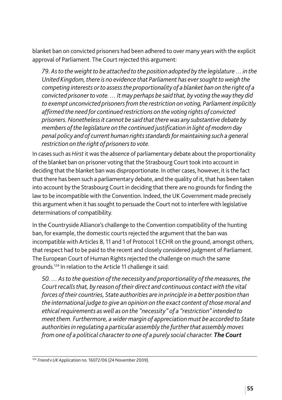blanket ban on convicted prisoners had been adhered to over many years with the explicit approval of Parliament. The Court rejected this argument:

*79. As to the weight to be attached to the position adopted by the legislature … in the United Kingdom, there is no evidence that Parliament has ever sought to weigh the competing interests or to assess the proportionality of a blanket ban on the right of a convicted prisoner to vote. … It may perhaps be said that, by voting the way they did to exempt unconvicted prisoners from the restriction on voting, Parliament implicitly affirmed the need for continued restrictions on the voting rights of convicted prisoners. Nonetheless it cannot be said that there was any substantive debate by members of the legislature on the continued justification in light of modern day penal policy and of current human rights standards for maintaining such a general restriction on the right of prisoners to vote.*

In cases such as *Hirst* it was the *absence* of parliamentary debate about the proportionality of the blanket ban on prisoner voting that the Strasbourg Court took into account in deciding that the blanket ban was disproportionate. In other cases, however, it is the fact that there has been such a parliamentary debate, and the quality of it, that has been taken into account by the Strasbourg Court in deciding that there are no grounds for finding the law to be incompatible with the Convention. Indeed, the UK Government made precisely this argument when it has sought to persuade the Court not to interfere with legislative determinations of compatibility.

In the Countryside Alliance's challenge to the Convention compatibility of the hunting ban, for example, the domestic courts rejected the argument that the ban was incompatible with Articles 8, 11 and 1 of Protocol 1 ECHR on the ground, amongst others, that respect had to be paid to the recent and closely considered judgment of Parliament. The European Court of Human Rights rejected the challenge on much the same grounds.124 In relation to the Article 11 challenge it said:

*50. … As to the question of the necessity and proportionality of the measures, the Court recalls that, by reason of their direct and continuous contact with the vital forces of their countries, State authorities are in principle in a better position than the international judge to give an opinion on the exact content of those moral and ethical requirements as well as on the "necessity" of a "restriction" intended to meet them. Furthermore, a wider margin of appreciation must be accorded to State authorities in regulating a particular assembly the further that assembly moves from one of a political character to one of a purely social character. The Court* 

<sup>124</sup> *Friend v UK* Application no. 16072/06 (24 November 2009).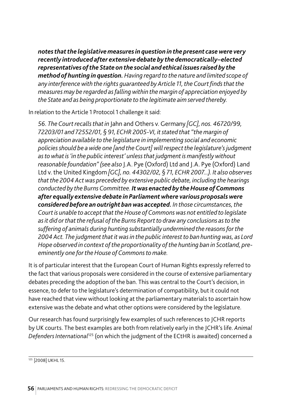*notes that the legislative measures in question in the present case were very recently introduced after extensive debate by the democratically–elected representatives of the State on the social and ethical issues raised by the method of hunting in question. Having regard to the nature and limited scope of any interference with the rights guaranteed by Article 11, the Court finds that the measures may be regarded as falling within the margin of appreciation enjoyed by the State and as being proportionate to the legitimate aim served thereby.*

In relation to the Article 1 Protocol 1 challenge it said:

*56. The Court recalls that in* Jahn and Others v. Germany *[GC], nos. 46720/99, 72203/01 and 72552/01, § 91, ECHR 2005-VI, it stated that "the margin of appreciation available to the legislature in implementing social and economic policies should be a wide one [and the Court] will respect the legislature's judgment as to what is 'in the public interest' unless that judgment is manifestly without reasonable foundation" (see also* J.A. Pye (Oxford) Ltd and J.A. Pye (Oxford) Land Ltd v. the United Kingdom *[GC], no. 44302/02, § 71, ECHR 2007...). It also observes that the 2004 Act was preceded by extensive public debate, including the hearings conducted by the Burns Committee. It was enacted by the House of Commons after equally extensive debate in Parliament where various proposals were considered before an outright ban was accepted. In those circumstances, the Court is unable to accept that the House of Commons was not entitled to legislate as it did or that the refusal of the Burns Report to draw any conclusions as to the suffering of animals during hunting substantially undermined the reasons for the 2004 Act. The judgment that it was in the public interest to ban hunting was, as Lord Hope observed in context of the proportionality of the hunting ban in Scotland, preeminently one for the House of Commons to make.*

It is of particular interest that the European Court of Human Rights expressly referred to the fact that various proposals were considered in the course of extensive parliamentary debates preceding the adoption of the ban. This was central to the Court's decision, in essence, to defer to the legislature's determination of compatibility, but it could not have reached that view without looking at the parliamentary materials to ascertain how extensive was the debate and what other options were considered by the legislature.

Our research has found surprisingly few examples of such references to JCHR reports by UK courts. The best examples are both from relatively early in the JCHR's life. *Animal Defenders International*125 (on which the judgment of the ECtHR is awaited) concerned a

<sup>125</sup> [2008] UKHL 15.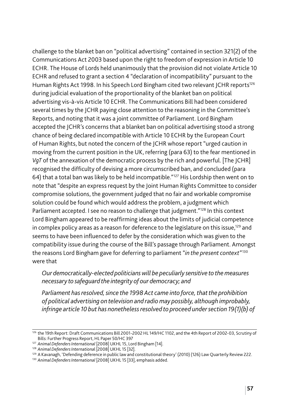challenge to the blanket ban on "political advertising" contained in section 321(2) of the Communications Act 2003 based upon the right to freedom of expression in Article 10 ECHR. The House of Lords held unanimously that the provision did not violate Article 10 ECHR and refused to grant a section 4 "declaration of incompatibility" pursuant to the Human Rights Act 1998. In his Speech Lord Bingham cited two relevant JCHR reports<sup>126</sup> during judicial evaluation of the proportionality of the blanket ban on political advertising vis-à-vis Article 10 ECHR. The Communications Bill had been considered several times by the JCHR paying close attention to the reasoning in the Committee's Reports, and noting that it was a joint committee of Parliament. Lord Bingham accepted the JCHR's concerns that a blanket ban on political advertising stood a strong chance of being declared incompatible with Article 10 ECHR by the European Court of Human Rights, but noted the concern of the JCHR whose report "urged caution in moving from the current position in the UK, referring (para 63) to the fear mentioned in *VqT* of the annexation of the democratic process by the rich and powerful. [The JCHR] recognised the difficulty of devising a more circumscribed ban, and concluded (para 64) that a total ban was likely to be held incompatible."127 His Lordship then went on to note that "despite an express request by the Joint Human Rights Committee to consider compromise solutions, the government judged that no fair and workable compromise solution could be found which would address the problem, a judgment which Parliament accepted. I see no reason to challenge that judgment."<sup>128</sup> In this context Lord Bingham appeared to be reaffirming ideas about the limits of judicial competence in complex policy areas as a reason for deference to the legislature on this issue,<sup>129</sup> and seems to have been influenced to defer by the consideration which was given to the compatibility issue during the course of the Bill's passage through Parliament. Amongst the reasons Lord Bingham gave for deferring to parliament "*in the present context*"130 were that

#### *Our democratically-elected politicians will be peculiarly sensitive to the measures necessary to safeguard the integrity of our democracy; and*

*Parliament has resolved, since the 1998 Act came into force, that the prohibition of political advertising on television and radio may possibly, although improbably, infringe article 10 but has nonetheless resolved to proceed under section 19(1)(b) of* 

<sup>126</sup> the 19th Report: Draft Communications Bill 2001-2002 HL 149/HC 1102, and the 4th Report of 2002-03, Scrutiny of Bills: Further Progress Report, HL Paper 50/HC 397

<sup>127</sup> *Animal Defenders International* [2008] UKHL 15, Lord Bingham [14].

<sup>128</sup> *Animal Defenders Internationa*l [2008] UKHL 15 [32].

<sup>&</sup>lt;sup>129</sup> A Kavanagh, 'Defending deference in public law and constitutional theory' (2010) (126) Law Quarterly Review 222.

<sup>130</sup> *Animal Defenders International* [2008] UKHL 15 [33], emphasis added.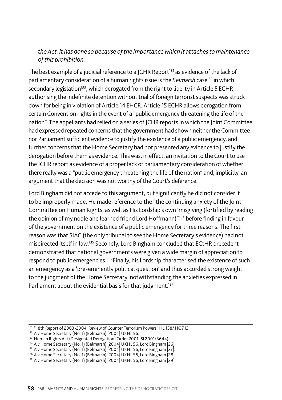#### *the Act. It has done so because of the importance which it attaches to maintenance of this prohibition.*

The best example of a judicial reference to a JCHR Report<sup>131</sup> as evidence of the lack of parliamentary consideration of a human rights issue is the *Belmarsh* case132 in which secondary legislation<sup>133</sup>, which derogated from the right to liberty in Article 5 ECHR, authorising the indefinite detention without trial of foreign terrorist suspects was struck down for being in violation of Article 14 EHCR. Article 15 ECHR allows derogation from certain Convention rights in the event of a "public emergency threatening the life of the nation". The appellants had relied on a series of JCHR reports in which the Joint Committee had expressed repeated concerns that the government had shown neither the Committee nor Parliament sufficient evidence to justify the existence of a public emergency, and further concerns that the Home Secretary had not presented any evidence to justify the derogation before them as evidence. This was, in effect, an invitation to the Court to use the JCHR report as evidence of a proper lack of parliamentary consideration of whether there really was a "public emergency threatening the life of the nation" and, implicitly, an argument that the decision was not worthy of the Court's deference.

Lord Bingham did not accede to this argument, but significantly he did not consider it to be improperly made. He made reference to the "the continuing anxiety of the Joint Committee on Human Rights, as well as His Lordship's own 'misgiving (fortified by reading the opinion of my noble and learned friend Lord Hoffmann)"134 before finding in favour of the government on the existence of a public emergency for three reasons. The first reason was that SIAC (the only tribunal to see the Home Secretary's evidence) had not misdirected itself in law.135 Secondly, Lord Bingham concluded that ECtHR precedent demonstrated that national governments were given a wide margin of appreciation to respond to public emergencies.136 Finally, his Lordship characterised the existence of such an emergency as a 'pre-eminently political question' and thus accorded strong weight to the judgment of the Home Secretary, notwithstanding the anxieties expressed in Parliament about the evidential basis for that judgment.<sup>137</sup>

- <sup>133</sup> Human Rights Act (Designated Derogation) Order 2001 (SI 2001/3644).
- 134 A v Home Secretary (No. 1) (Belmarsh) [2004] UKHL 56, Lord Bingham [26].

<sup>&</sup>lt;sup>131</sup> "18th Report of 2003-2004: Review of Counter Terrorism Powers" HL 158/ HC 713.

<sup>132</sup> A v Home Secretary (No. 1) (Belmarsh) [2004] UKHL 56.

<sup>135</sup> A v Home Secretary (No. 1) (Belmarsh) [2004] UKHL 56, Lord Bingham [27].

<sup>&</sup>lt;sup>136</sup> A v Home Secretary (No. 1) (Belmarsh) [2004] UKHL 56, Lord Bingham [28].<br><sup>137</sup> A v Home Secretary (No. 1) (Belmarsh) [2004] UKHL 56, Lord Bingham [29].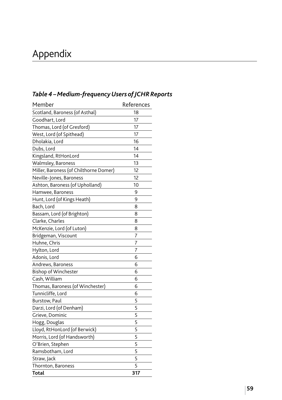# Appendix

| Member                                 | References |
|----------------------------------------|------------|
| Scotland, Baroness (of Asthal)         | 18         |
| Goodhart, Lord                         | 17         |
| Thomas, Lord (of Gresford)             | 17         |
| West, Lord (of Spithead)               | 17         |
| Dholakia, Lord                         | 16         |
| Dubs, Lord                             | 14         |
| Kingsland, RtHonLord                   | 14         |
| Walmsley, Baroness                     | 13         |
| Miller, Baroness (of Chilthorne Domer) | 12         |
| Neville-Jones, Baroness                | 12         |
| Ashton, Baroness (of Upholland)        | 10         |
| Hamwee, Baroness                       | 9          |
| Hunt, Lord (of Kings Heath)            | 9          |
| Bach, Lord                             | 8          |
| Bassam, Lord (of Brighton)             | 8          |
| Clarke, Charles                        | 8          |
| McKenzie, Lord (of Luton)              | 8          |
| Bridgeman, Viscount                    | 7          |
| Huhne, Chris                           | 7          |
| Hylton, Lord                           | 7          |
| Adonis, Lord                           | 6          |
| Andrews, Baroness                      | 6          |
| <b>Bishop of Winchester</b>            | 6          |
| Cash, William                          | 6          |
| Thomas, Baroness (of Winchester)       | 6          |
| Tunnicliffe, Lord                      | 6          |
| Burstow, Paul                          | 5          |
| Darzi, Lord (of Denham)                | 5          |
| Grieve, Dominic                        | 5          |
| Hogg, Douglas                          | 5          |
| Lloyd, RtHonLord (of Berwick)          | 5          |
| Morris, Lord (of Handsworth)           | 5          |
| O'Brien, Stephen                       | 5          |
| Ramsbotham, Lord                       | 5          |
| Straw, Jack                            | 5          |
| Thornton, Baroness                     | 5          |
| Total                                  | 317        |

# *Table 4 – Medium-frequency Users of JCHR Reports*